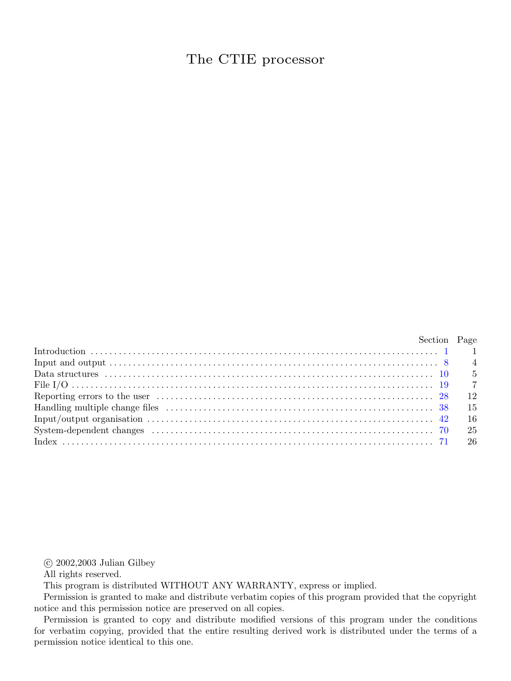## The CTIE processor

| Section Page   |
|----------------|
|                |
|                |
|                |
| $\overline{7}$ |
| - 12           |
| - 15           |
| - 16           |
| - 25           |
|                |

 $\odot$  2002,2003 Julian Gilbey

All rights reserved.

This program is distributed WITHOUT ANY WARRANTY, express or implied.

Permission is granted to make and distribute verbatim copies of this program provided that the copyright notice and this permission notice are preserved on all copies.

Permission is granted to copy and distribute modified versions of this program under the conditions for verbatim copying, provided that the entire resulting derived work is distributed under the terms of a permission notice identical to this one.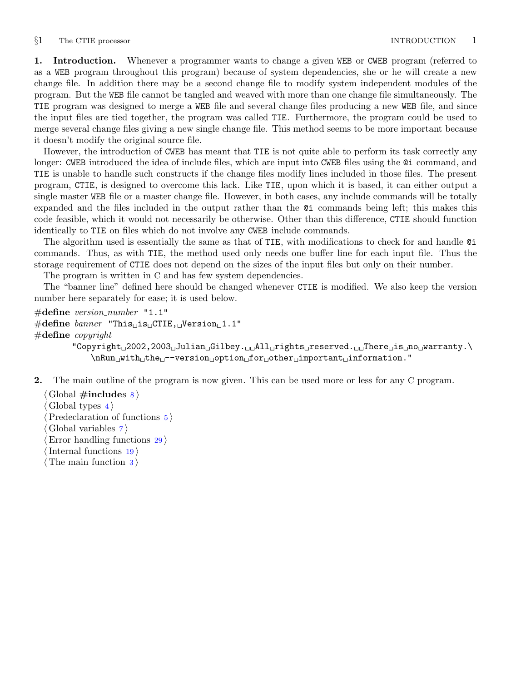## <span id="page-1-0"></span>§1 The CTIE processor **INTRODUCTION** 1

1. Introduction. Whenever a programmer wants to change a given WEB or CWEB program (referred to as a WEB program throughout this program) because of system dependencies, she or he will create a new change file. In addition there may be a second change file to modify system independent modules of the program. But the WEB file cannot be tangled and weaved with more than one change file simultaneously. The TIE program was designed to merge a WEB file and several change files producing a new WEB file, and since the input files are tied together, the program was called TIE. Furthermore, the program could be used to merge several change files giving a new single change file. This method seems to be more important because it doesn't modify the original source file.

However, the introduction of CWEB has meant that TIE is not quite able to perform its task correctly any longer: CWEB introduced the idea of include files, which are input into CWEB files using the  $Q$  command, and TIE is unable to handle such constructs if the change files modify lines included in those files. The present program, CTIE, is designed to overcome this lack. Like TIE, upon which it is based, it can either output a single master WEB file or a master change file. However, in both cases, any include commands will be totally expanded and the files included in the output rather than the @i commands being left; this makes this code feasible, which it would not necessarily be otherwise. Other than this difference, CTIE should function identically to TIE on files which do not involve any CWEB include commands.

The algorithm used is essentially the same as that of TIE, with modifications to check for and handle @i commands. Thus, as with TIE, the method used only needs one buffer line for each input file. Thus the storage requirement of CTIE does not depend on the sizes of the input files but only on their number.

The program is written in C and has few system dependencies.

The "banner line" defined here should be changed whenever CTIE is modified. We also keep the version number here separately for ease; it is used below.

 $\#$ define version\_number "1.1"  $\#\text{define } banner \text{ "This} \text{is } \text{cTIE}, \text{cVersion} \text{is } 1.1"$  $\#$ define copyright  $"Copyright<sub>u</sub>2002, 2003<sub>u</sub>Julian<sub>u</sub>Gilbey. <sub>u</sub>All<sub>u</sub>rights<sub>u</sub>reserved. <sub>uu</sub>There<sub>u</sub>is<sub>u</sub>no<sub>u</sub>varranty.\n\$ \nRun<sub>u</sub>with<sub>u</sub>the<sub>u</sub>--version<sub>u</sub>option<sub>u</sub>for<sub>u</sub>other<sub>u</sub>important<sub>u</sub>information."

2. The main outline of the program is now given. This can be used more or less for any C program.

Global  $\#\text{includes } 8$  $\#\text{includes } 8$ Global types Predeclaration of functions Global variables Error handling functions Internal functions  $\langle$  The main function [3](#page-2-0)  $\rangle$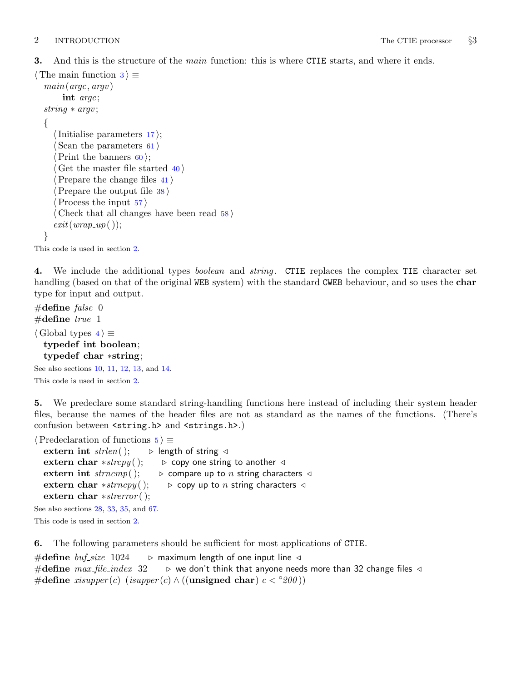<span id="page-2-0"></span>3. And this is the structure of the main function: this is where CTIE starts, and where it ends.

```
\langle The main function 3\rangle \equivmain(argc, argv)int argc;
 string ∗ argv ;
 {
    \langle17\rangle;
    \langle61\rangle\langle60\rangle;
    \langle40 \rangle\langle41 \rangle\langle38 \rangle\langle57 \rangle\langle Check that all changes have been read 58 \rangleexit(wrap\_up());}
```
This code is used in section [2](#page-1-0).

4. We include the additional types *boolean* and *string*. CTIE replaces the complex TIE character set handling (based on that of the original WEB system) with the standard CWEB behaviour, and so uses the char type for input and output.

```
#define false 0
#define true 1
\langle Global types 4\rangle \equivtypedef int boolean;
  typedef char ∗string;
```
See also sections [10](#page-5-0), [11,](#page-5-0) [12](#page-5-0), [13](#page-5-0), and [14](#page-6-0). This code is used in section [2](#page-1-0).

5. We predeclare some standard string-handling functions here instead of including their system header files, because the names of the header files are not as standard as the names of the functions. (There's confusion between <string.h> and <strings.h>.)

 $\langle$  Predeclaration of functions  $5 \rangle \equiv$ 

| extern int $\text{strlen}($ );             | $\triangleright$ length of string $\triangleleft$                      |
|--------------------------------------------|------------------------------------------------------------------------|
| extern char *strcpy();                     | $\triangleright$ copy one string to another $\triangleleft$            |
| extern int $strncmp$ ();                   | $\triangleright$ compare up to n string characters $\triangleleft$     |
| extern char $* \nstrong();$                | $\triangleright$ copy up to <i>n</i> string characters $\triangleleft$ |
| extern char $*strerror$ ();                |                                                                        |
| See also sections $28, 33, 35,$ and $67$ . |                                                                        |

This code is used in section [2](#page-1-0).

6. The following parameters should be sufficient for most applications of CTIE.

```
#define buf\_size 1024 \rightarrow maximum length of one input line \triangleleft#define max_{i} file index 32 \Rightarrow we don't think that anyone needs more than 32 change files \triangleleft#define xisupper(c) (isupper(c) \wedge ((unsigned char) c < \degree 200))
```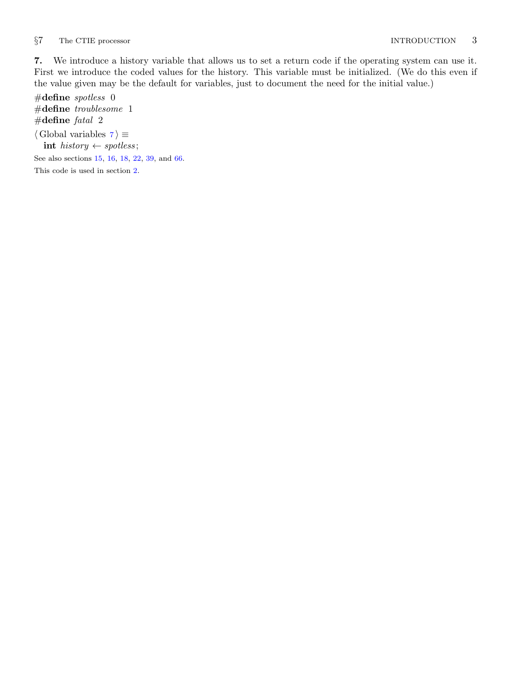<span id="page-3-0"></span>7. We introduce a history variable that allows us to set a return code if the operating system can use it. First we introduce the coded values for the history. This variable must be initialized. (We do this even if the value given may be the default for variables, just to document the need for the initial value.)

 $\#$ define spotless 0 #define troublesome 1 #define  $fatal$  2  $\langle$  Global variables 7 $\rangle \equiv$ int history  $\leftarrow$  spotless; See also sections [15](#page-6-0), [16,](#page-6-0) [18](#page-6-0), [22](#page-8-0), [39,](#page-15-0) and [66.](#page-23-0) This code is used in section [2](#page-1-0).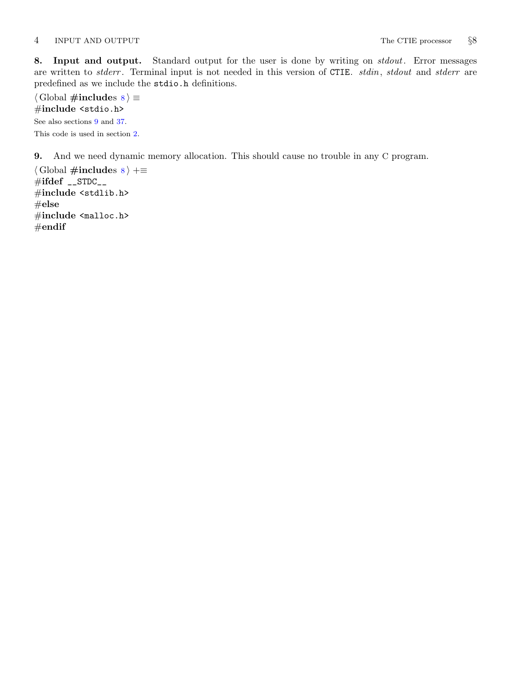<span id="page-4-0"></span>8. Input and output. Standard output for the user is done by writing on *stdout*. Error messages are written to stderr. Terminal input is not needed in this version of CTIE. stdin, stdout and stderr are predefined as we include the stdio.h definitions.

 $\langle$  Global #includes 8 $\rangle \equiv$ #include <stdio.h> See also sections 9 and [37.](#page-14-0) This code is used in section [2](#page-1-0).

9. And we need dynamic memory allocation. This should cause no trouble in any C program.

 $\langle$  Global #includes 8  $\rangle$  +≡  $\#ifdef \_STDC\_$ #include <stdlib.h>  $#else$ #include <malloc.h>  $#$ endif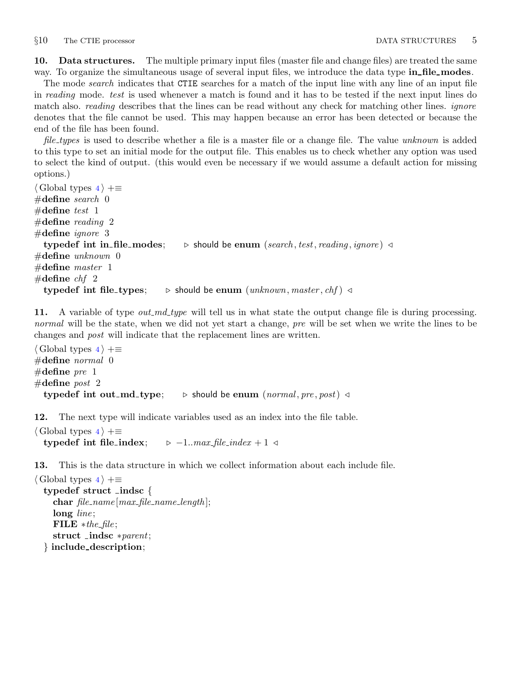<span id="page-5-0"></span>10. Data structures. The multiple primary input files (master file and change files) are treated the same way. To organize the simultaneous usage of several input files, we introduce the data type in file modes.

The mode *search* indicates that CTIE searches for a match of the input line with any line of an input file in reading mode. test is used whenever a match is found and it has to be tested if the next input lines do match also. *reading* describes that the lines can be read without any check for matching other lines. *ignore* denotes that the file cannot be used. This may happen because an error has been detected or because the end of the file has been found.

file types is used to describe whether a file is a master file or a change file. The value unknown is added to this type to set an initial mode for the output file. This enables us to check whether any option was used to select the kind of output. (this would even be necessary if we would assume a default action for missing options.)

 $\langle$  Global types [4](#page-2-0)  $\rangle$  +≡  $\#$ define search 0 #define test  $1$ #define reading 2  $\#$ define *ignore* 3 typedef int in file modes; b should be enum (search, test, reading, ignore)  $\triangleleft$  $\#$ define unknown 0  $\#$ define master 1 #define  $chf$  2 typedef int file\_types;  $\Rightarrow$  should be enum (unknown, master, chf)  $\triangleleft$ 

11. A variable of type *out\_md\_type* will tell us in what state the output change file is during processing. normal will be the state, when we did not yet start a change, pre will be set when we write the lines to be changes and post will indicate that the replacement lines are written.

```
\langle4\rangle +≡
\#define normal 0
#define pre 1#define post 2
  typedef int out_md_type; \triangleright should be enum (normal, pre, post) \triangleleft
```
12. The next type will indicate variables used as an index into the file table.

```
\langle4 \rangle +≡
  typedef int file_index; \rightarrow -1...max_file_index + 1 <
```
13. This is the data structure in which we collect information about each include file.

```
\langle4\rangle +≡
 typedef struct indsc {
    char file_name[max_file_name.length];long line;
    FILE * the-file;
    struct indsc ∗parent;
  } include description;
```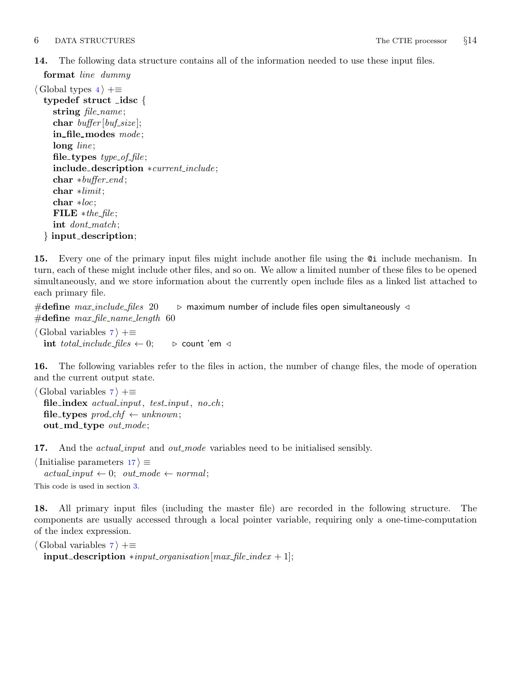<span id="page-6-0"></span>14. The following data structure contains all of the information needed to use these input files.

```
format line dummy
```

```
\langle4 \rangle +≡
  typedef struct idsc {
    string file_name;
    char buffer[buf\_size];
    in_file_modes mode;
    long line;
    file_types type\_of\_file;
    include description ∗current include ;
    char *buffer\_end;char ∗limit;
    char ∗loc;
    FILE * the-file;
    int dont_match;
  } input description;
```
15. Every one of the primary input files might include another file using the @i include mechanism. In turn, each of these might include other files, and so on. We allow a limited number of these files to be opened simultaneously, and we store information about the currently open include files as a linked list attached to each primary file.

#define  $max\_include\_files$  20  $\longrightarrow$  maximum number of include files open simultaneously  $\triangleleft$  $\#$ define max\_file\_name\_length 60

 $\langle$  Global variables [7](#page-3-0)  $\rangle$  +≡ int total\_include\_files  $\leftarrow 0$ ;  $\rightarrow$  count 'em ⊲

16. The following variables refer to the files in action, the number of change files, the mode of operation and the current output state.

```
\langle7 \rangle +≡
  file_index actual_input, test_input, no_ch;
  file_types \text{prod\_chf} \leftarrow \text{unknown};out_md_type out_mode;
```
17. And the *actual input* and *out mode* variables need to be initialised sensibly.

 $\langle$  Initialise parameters 17 $\rangle \equiv$  $actual\_input \leftarrow 0; out-mode \leftarrow normal;$ This code is used in section [3](#page-2-0).

18. All primary input files (including the master file) are recorded in the following structure. The components are usually accessed through a local pointer variable, requiring only a one-time-computation of the index expression.

```
\langle7 \rangle +≡
  \text{input\_description} * input\_organization[max\_file\_index + 1];
```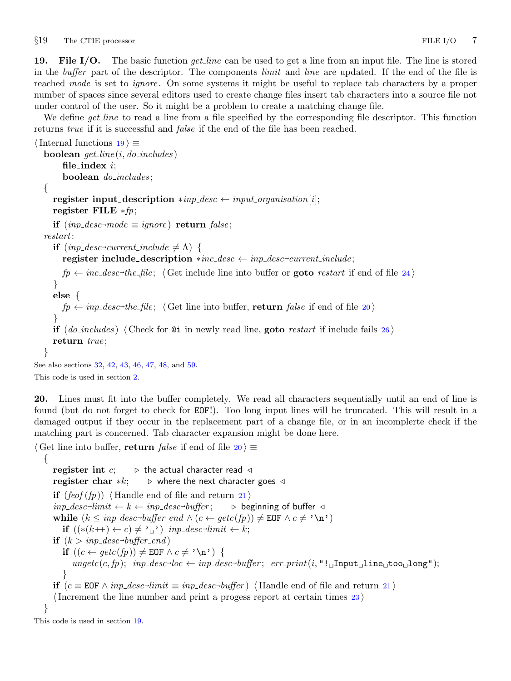<span id="page-7-0"></span>19. File I/O. The basic function *get line* can be used to get a line from an input file. The line is stored in the *buffer* part of the descriptor. The components *limit* and *line* are updated. If the end of the file is reached mode is set to *ignore*. On some systems it might be useful to replace tab characters by a proper number of spaces since several editors used to create change files insert tab characters into a source file not under control of the user. So it might be a problem to create a matching change file.

We define *get-line* to read a line from a file specified by the corresponding file descriptor. This function returns true if it is successful and *false* if the end of the file has been reached.

```
\langle Internal functions 19\rangle \equivboolean get\_line(i, do\_includes)file_index i;
       boolean do includes ;
  {
     register input_description *inp\_desc \leftarrow input\_organization[i];register FILE *fp;if (inp_desc→mode \equiv ignore) return false;
  restart:
     if (np\_desc\text{-}current\_include \neq \Lambda) {
       register include_description *inc_desc \leftarrow inp_desc-current_include;
       fp \leftarrow \textit{inc\_desc-the\_file}; 24} \rangle}
     else {
       fp \leftarrow inp\_desc\rightarrow the\_file; \langle Get line into buffer, return false if end of file 20 \rangle}
     if (do_{\textit{includes}}) (Check for \texttt{0i} in newly read line, goto26)
     return true;
  }
See also sections 32, 42, 43, 46, 47, 48, and 59.
```

```
This code is used in section 2.
```
20. Lines must fit into the buffer completely. We read all characters sequentially until an end of line is found (but do not forget to check for EOF!). Too long input lines will be truncated. This will result in a damaged output if they occur in the replacement part of a change file, or in an incomplerte check if the matching part is concerned. Tab character expansion might be done here.

```
\langle Get line into buffer, return false if end of file 20 \equiv{
      register int c; \Rightarrow the actual character read \triangleleftregister char *k; \Rightarrow where the next character goes \triangleleftif (feof (fp))21)
      \textit{inp\_desc-limit} \leftarrow k \leftarrow \textit{inp\_desc-buffer}; \quad \triangleright \textit{beginning of buffer} \triangleleftwhile (k \leq np\_desc\text{-}buffer\_end \wedge (c \leftarrow getc(fp)) \neq \texttt{EOF} \wedge c \neq \text{'\`n'}if ((*(k++) \leftarrow c) \neq ' \cup') inp_desc-limit ← k;
      \mathbf{if} \,\,(k>\mathit{inp\_desc}\text{-}\mathit{buffer\_end})if ((c \leftarrow \text{getc}(fp)) \neq \text{EOF} \land c \neq ' \n\land n') {
            \text{ungetc}(c, fp); \quad \text{inp\_desc-loc} \leftarrow \text{inp\_desc-buffer}; \quad \text{err\_print}(i, "!\text{uInput\_line\_too\_long");}}
      if (c \equiv \text{EOF} \land \text{inp\_desc-limit} \equiv \text{inp\_desc-buffer}) \langle21\rangle\langle23\rangle}
This code is used in section 19.
```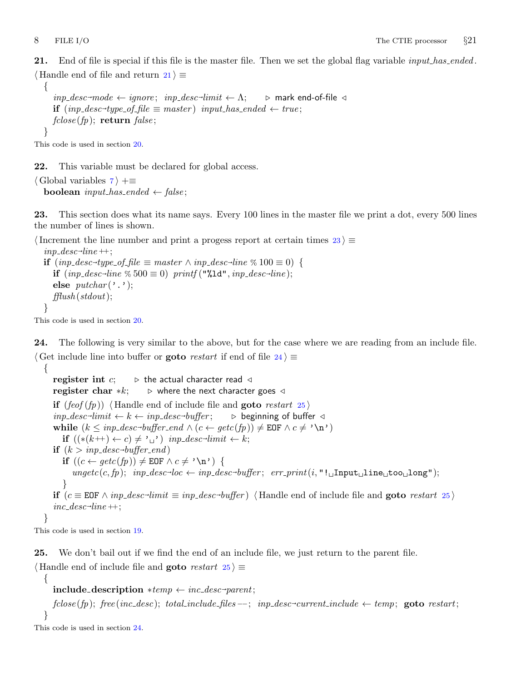<span id="page-8-0"></span>21. End of file is special if this file is the master file. Then we set the global flag variable *input has ended*.  $\langle$  Handle end of file and return 21  $\rangle \equiv$ 

```
{
   inp\_desc\rightarrow mode \leftarrow ignore; inp\_desc\rightarrow limit \leftarrow \Lambda;\triangleright mark end-of-file ⊲
    \text{if } \text{(inp\_desc\_type\_of\_file \equiv master)} \text{ input\_has\_ended} \leftarrow \text{true};fclose(fp); return false;
}
```
This code is used in section [20](#page-7-0).

22. This variable must be declared for global access.

```
\langle7 \rangle +≡
  boolean input_has_ended \leftarrow false;
```
23. This section does what its name says. Every 100 lines in the master file we print a dot, every 500 lines the number of lines is shown.

(Increment the line number and print a progess report at certain times 23)  $\equiv$  $inp\_desc\text{-}line++;$ **if**  $(np\_desc \rightarrow type\_of\_file \equiv master \land inp\_desc \rightarrow line \% 100 \equiv 0)$  { **if**  $(inp\_desc\_line % 500 ≡ 0)$  printf  $(\sqrt{"}4d", inp\_desc\_line);$ else  $\mathit{putchar}( \mathcal{C} \mathcal{C}^{\prime} )$ ;  $\text{fflush}(stdout);$ }

This code is used in section [20](#page-7-0).

24. The following is very similar to the above, but for the case where we are reading from an include file.  $\langle$  Get include line into buffer or **goto** restart if end of file  $24$   $\equiv$ 

{ register int  $c$ ;  $\Rightarrow$  the actual character read  $\triangleleft$ register char  $*k$ ;  $\Rightarrow$  where the next character goes  $\triangleleft$ **if**  $(feof (fp))$  (Handle end of include file and **goto** restart 25)  $\textit{inp\_desc-limit} \leftarrow k \leftarrow \textit{inp\_desc-buffer}; \quad \triangleright \textit{beginning of buffer} \triangleleft$ while  $(k \leq np\_desc\text{-}buffer\_end \wedge (c \leftarrow getc(fp)) \neq \texttt{EOF} \wedge c \neq \text{'\`n'}$ **if**  $((*(k++) \leftarrow c) \neq ' \cup')$  *inp\_desc*<sup>→</sup>*limit*  $\leftarrow k$ ;  $\mathbf{if} \,\,(k>\mathit{inp\_desc}\text{-}\mathit{buffer\_end})$ if  $((c \leftarrow \text{getc}(fp)) \neq \text{EOF} \land c \neq ' \n\backslash n')$  {  $\text{ungetc}(c, fp); \quad \text{inp\_desc-loc} \leftarrow \text{inp\_desc-buffer}; \quad \text{err\_print}(i, "!\text{uInput\_line\_too\_long");}$ } **if**  $(c \equiv \text{EOF} \land \text{inp\_desc-limit} \equiv \text{inp\_desc-buffer})$   $\langle$  Handle end of include file and **goto** restart 25 $\rangle$  $inc\_desc\text{-}line++;$ }

This code is used in section [19](#page-7-0).

{

25. We don't bail out if we find the end of an include file, we just return to the parent file. Handle end of include file and **goto** restart  $25 \equiv$ 

```
\textbf{include}=\textbf{description} * temp \leftarrow inc\_desc\text{-}parent;
```

```
\mathit{fclose}(\mathit{fp}); \ \mathit{free}(\mathit{inc\_desc}); \ \mathit{total\_include\_files} --; \ \mathit{inp\_desc} - current\_include \leftarrow temp; \ \textbf{goto} \ \mathit{restart};}
```
This code is used in section 24.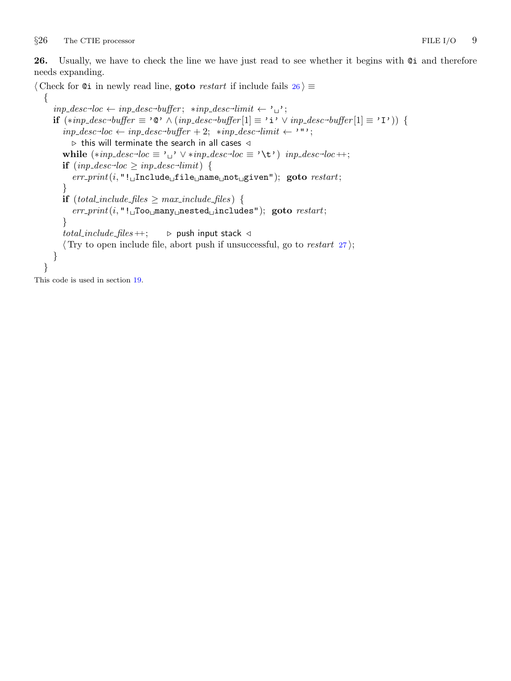<span id="page-9-0"></span>26. Usually, we have to check the line we have just read to see whether it begins with @i and therefore needs expanding.

 $\langle$  Check for ©i in newly read line, goto *restart* if include fails  $26$   $\equiv$ 

```
{
   inp\_desc\rightarrow loc \leftarrow inp\_desc\rightarrow buffer; \ *inp\_desc\rightarrow limit \leftarrow \prime \rightarrow;
   if (*inp\_desc\rightarrow buffer \equiv '@' \land (inp\_desc\rightarrow buffer[1] \equiv 'i' \lor inp\_desc\rightarrow buffer[1] \equiv 'I') ) {
      inp\_desc-loc \leftarrow inp\_desc-buffer + 2; \quad *inp\_desc-limit \leftarrow "";
         \triangleright this will terminate the search in all cases \triangleleftwhile (*inp\_desc\_loc \equiv '_{\sqcup} ' \vee *inp\_desc\_loc \equiv ' \setminus t') \; inp\_desc\_loc +;\mathbf{if} \ (inp\_desc\_loc \geq inp\_desc\_limit) \ \{err\_print(i, "! \text{...} \text{Indue\_file\_name\_not\_given"); goto restart;}
     if (total_include_files \geq max_include_files) {
         err\_print(i, "! \Box Too \Box many \Box nested \Box includes"); goto restart;}
      total_include_files +; \rightarrow push input stack \triangleleft\langle27\rangle;
   }
}
```
This code is used in section [19](#page-7-0).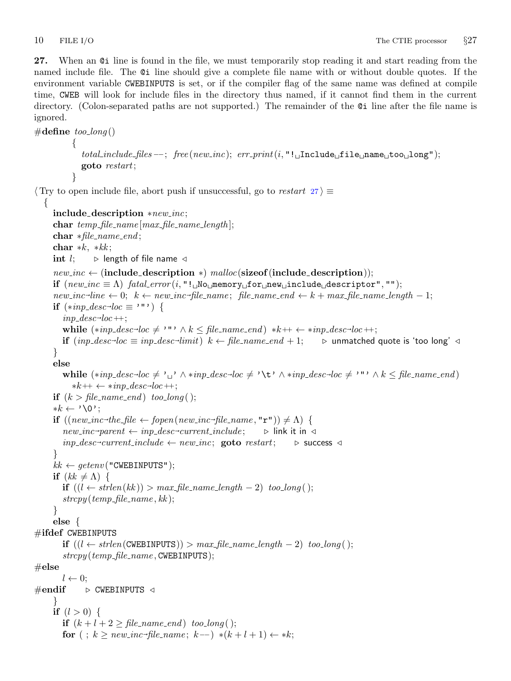<span id="page-10-0"></span>27. When an @i line is found in the file, we must temporarily stop reading it and start reading from the named include file. The @i line should give a complete file name with or without double quotes. If the environment variable CWEBINPUTS is set, or if the compiler flag of the same name was defined at compile time, CWEB will look for include files in the directory thus named, if it cannot find them in the current directory. (Colon-separated paths are not supported.) The remainder of the @i line after the file name is ignored.

```
\#\text{define too\_long}(){
                total\_include\_files - -; free(new\_inc); err\_print(i, "!\_\sqcup Include\_file\_name\_too\_long");goto restart;
            }
\langle Try to open include file, abort push if unsuccessful, go to restart 27\rangle \equiv{
      include description ∗new inc;
      char temp_{\textit{file\_name}}[max_{\textit{file\_name\_length}}];char ∗file name end ;
      char *k, *k;
      int l; \Rightarrow length of file name \triangleleftnew\_inc \leftarrow (include\_description *) \, \, \mathit{malloc}(\text{sizeof}(\text{include\_description}));if (new\_inc \equiv \Lambda) fatal_error(i, "! No memory for new include descriptor", "");
      new\_inc\text{-}line \leftarrow 0; \ \ k ← new\_inc\text{-}file\_name; \ \ file\_name\_end \leftarrow k + max\_file\_name\_length - 1;if (*inp\_desc\_loc \equiv ' "') {
         inp\_desc\_loc++;while (*inp\_desc\_loc \neq \cdots \wedge k \leq file\_name\_end) * k++ \leftarrow *inp\_desc\_loc + +;if (input_{p}\_desc\rightarrow loc \equiv inp\_desc\rightarrow limit) k \leftarrow file\_name\_end + 1; \rightarrow unmatched quote is 'too long' \triangleleft}
      else
         while (*inp\_desc-loc \neq '_{\sqcup'} \land *inp\_desc-loc \neq ' \setminus t' \land *inp\_desc-loc \neq '''' \land k \leq file\_name\_end)**k++ \leftarrow *inp\_desc\rightarrow loc++;if (k > file_name\_end) too_long();
      \ast k \leftarrow \text{'\`0':}if ((\textit{new\_inc} \rightarrow \textit{the\_file} \leftarrow \textit{fopen}(\textit{new\_inc} \rightarrow \textit{file\_name}, \texttt{"r"})) \neq \Lambda) {
         new\_inc\text{-}parent \leftarrow inp\_desc\text{-}current\_include; \Rightarrow \text{link it in } \triangleleftinp\_desc\text{-}current\_include \leftarrow new\_inc; goto restart; \triangleright success \triangleleft}
      kk \leftarrow \text{getenv} ("CWEBINPUTS");
     if (kk \neq \Lambda) {
         if ((l ← \text{strlen}(kk)) > \text{max\_file\_name\_length} - 2) too_long();
         strcpy (temp_file_name, kk);
      }
      else {
\#ifdef CWEBINPUTS
         if ((l ← sthen(CWEBINPUTS)) > max_file_name_length - 2) too_log();stropy (temp_{\textit{file_name}}, \text{CWEBINPUTS});\#\mathbf{else}l \leftarrow 0:
\#endif \rightarrow CWEBINPUTS \triangleleft}
      if (l > 0) {
         if (k+l+2) file_name_end ) too_long();
         for (; k \geq new\_inc\text{-file\_name}; k--) *(k+l+1) \leftarrow *k;
```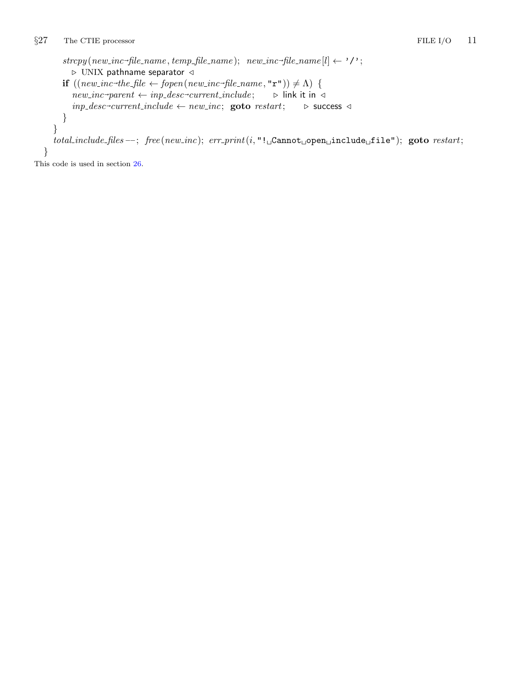```
\textit{stropy}(new\_inc \rightarrow file\_name, temp\_file\_name); \ \ \textit{new\_inc} \rightarrow file\_name[l] \leftarrow \text{''}';\triangleright UNIX pathname separator \triangleleftif ((\textit{new}\_\textit{inc}\textit{-the}\_\textit{file} \leftarrow \textit{fopen}(\textit{new}\_\textit{inc}\textit{-file}\_\textit{name}, \texttt{"r"})) \neq \Lambda) {
          new\_inc\text{-}parent \leftarrow inp\_desc\text{-}current\_include; \qquad \triangleright \text{ link it in } \triangleleftinp\_desc\text{-}current\_include \leftarrow new\_inc; \text{goto } restart; \rightarrow success \triangleleft}
\emph{total} \_include \emph{files} \_\text{--}; \ \ \emph{free}\, (new\_inc); \ \ \emph{err} \_\text{print}(i, \text{"}\text{!}\_\text{Gannot\_open\_include\_file");} \ \ \text{goto} \ \ \emph{restart};
```
This code is used in section [26](#page-9-0).

}

}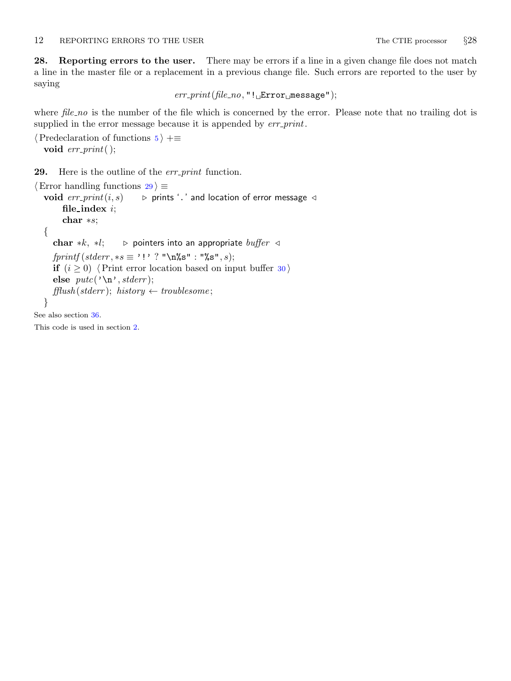<span id="page-12-0"></span>28. Reporting errors to the user. There may be errors if a line in a given change file does not match a line in the master file or a replacement in a previous change file. Such errors are reported to the user by saying

 $err\_print(file\_no, "! \text{r}$ Error $\text{r}$ message");

where file\_no is the number of the file which is concerned by the error. Please note that no trailing dot is supplied in the error message because it is appended by  $err\_print$ .

```
\langle5 \rangle +≡
 void err\_print( );
```
29. Here is the outline of the *err\_print* function.

```
\langle Error handling functions 29 \rangle \equivvoid err\_print(i, s) \longrightarrow prints '.' and location of error message \triangleleftfile_index i;
       char ∗s;
  {
     char *k, *l; \triangleright pointers into an appropriate buffer \triangleleftfprintf (stderr, *s \equiv ' ! ' ? "\n%s": "\s", s);if (i \geq 0)30)
     else putc('n', stderr);\text{fflush}(stderr); history \leftarrow \text{troublesome};}
See also section 36.
```
This code is used in section [2](#page-1-0).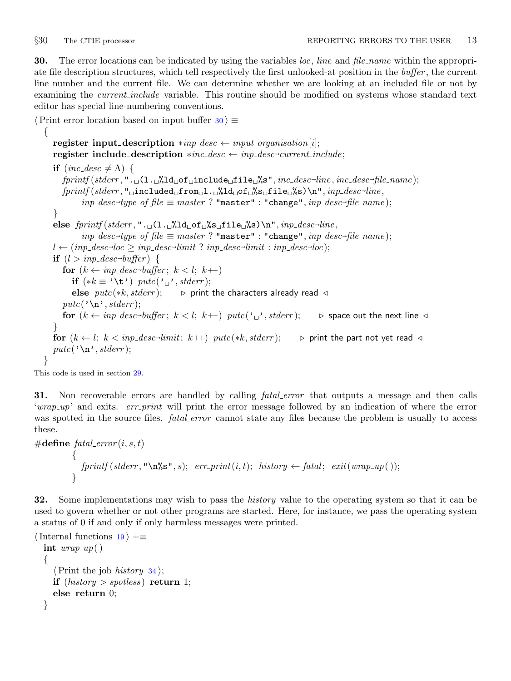<span id="page-13-0"></span>30. The error locations can be indicated by using the variables *loc*, line and file\_name within the appropriate file description structures, which tell respectively the first unlooked-at position in the buffer , the current line number and the current file. We can determine whether we are looking at an included file or not by examining the *current include* variable. This routine should be modified on systems whose standard text editor has special line-numbering conventions.

```
\langle Print error location based on input buffer 30 \rangle \equiv\{register input_description *inp\_desc \leftarrow input\_organisation[i];\texttt{register include\_description} \ast \textit{inc\_desc} \leftarrow \textit{inp\_desc}\textit{-current\_include};if (inc\_desc \neq \Lambda) {
            {\it fprintf}({\it stderr}, ". \lrcorner(1.\lrcorner%1d_\sqcupof\lrcornerinclude\lrcornerfile\lrcorner%s", {\it inc\_desc}\lnotfile, {\it inc\_desc}\lnotfile_name);
            \emph{fprintf}(\emph{stderr},\text{"$\sf{u}$} \emph{included$\sf_{\sf u}$} \emph{from} \emph{ul} \emph{.\sf{u}''} \emph{lab} \emph{of \sf{u}''} \emph{s} \emph{u} \emph{file \sf{u}''} \emph{s} ) \emph{`n",} \emph{inp\_desc-line},inp\_desc \rightarrow type\_of\_file \equiv master ? "master" : "change", inp\_desc \rightarrow file\_name);
        }
        {\sf else}\ \textit{frintf}(\textit{stderr},\texttt{".} \sqcup \texttt{(l.} \sqcup \texttt{Mod} \sqcup \texttt{fs} \sqcup \texttt{file} \sqcup \texttt{fs}) \texttt{\setminus} \texttt{n", \textit{inp\_desc-line}},inp\_desc \rightarrow type\_of\_file \equiv master ? "master" : "change", inp\_desc \rightarrow file\_name);
        l \leftarrow (inp\_desc\text{-}loc \geq inp\_desc\text{-}limit ? inp\_desc\text{-}limit : inp\_desc\text{-}loc);\quad \text{if} \ \ (l > np\_desc\text{-}buffer) \ \ \{for (k \leftarrow imp\_desc\rightarrow buffer; k < l; k++)if (*k \equiv ' \setminus t') putc(\cdot \square', stder);
                else pute(*k, stderr); \rightarrow print the characters already read \triangleleftputc('n', stderr);for (k \leftarrow imp\_desc\rightarrow buffer; k < l; k++)\;pute(\text{'}\text{'}\text{'}\text{'},stderr); \quad \triangleright \text{ space out the next line } \triangleleft}
        for (k \leftarrow l; k < imp\_desc\text{-}limit; k++)\;{\it putc(*k, stderr)}; \qquad \triangleright \text{ print the part not yet read } \triangleleftputc('n',stderr);}
```
This code is used in section [29](#page-12-0).

31. Non recoverable errors are handled by calling *fatal error* that outputs a message and then calls 'wrap\_up' and exits. err\_print will print the error message followed by an indication of where the error was spotted in the source files. *fatal\_error* cannot state any files because the problem is usually to access these.

```
#define \text{fatal_error}(i, s, t){
            fprintf (stderr, "\n%s", s); err_print(i, t); history \leftarrow fatal; exit(wrap_up());
           }
```
32. Some implementations may wish to pass the *history* value to the operating system so that it can be used to govern whether or not other programs are started. Here, for instance, we pass the operating system a status of 0 if and only if only harmless messages were printed.

```
\{19 \rangle +≡
  int wrap_{\textit{-}up}()
  {
     \langle Print the job history34\rangle;
    if (history > spots) return 1;
    else return 0;
  }
```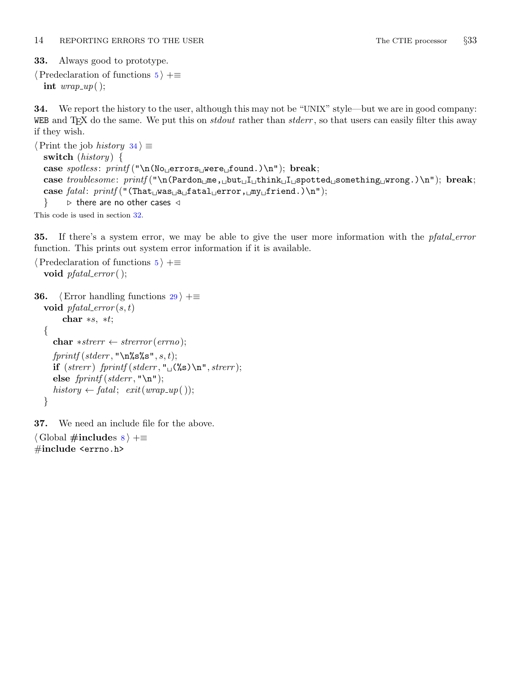<span id="page-14-0"></span>33. Always good to prototype.

```
\langle Predeclaration of functions 5 \rangle +≡
   int wrap_{\text{-}}up ();
```
34. We report the history to the user, although this may not be "UNIX" style—but we are in good company: WEB and T<sub>E</sub>X do the same. We put this on *stdout* rather than *stderr*, so that users can easily filter this away if they wish.

```
\langle Print the job history 34\rangle \equivswitch (history) \{case spotless: print(f' \n\No_errors \n\perp \nfor \n\alpha.)\n"); break;
   case troublesome: printf("\nCPardon<sub>u</sub>me, <sub>u</sub>but<sub>u</sub>l<sub>u</sub>think<sub>u</sub>l<sub>u</sub>sootted<sub>u</sub>something<sub>u</sub>wrong.)\n"); break;
   case \text{fatal: } \text{printf}(\text{``(That} \text{was} \text{ad} \text{atal}_\text{uerror}, \text{day} \text{if} \text{rend.})\ \text{`n''});\} b there are no other cases \triangleleft
```
This code is used in section [32](#page-13-0).

35. If there's a system error, we may be able to give the user more information with the *pfatal\_error* function. This prints out system error information if it is available.

```
\langle Predeclaration of functions 5 \rangle +≡
  void pfatal_error();
36. \langle29 \rangle +≡
  void pfatal_error(s, t)char *s, *t;{
    char *strerr \leftarrow strerror(errno);fprintf(\text{stderr}, "\\n\s\s", s, t);
    if (strerr) fprintf (stderr, "\Box(%s) \n", strerr);
    else fprint(f (stderr, "\\n");history \leftarrow fatal; exit(wrap_up());
  }
```
37. We need an include file for the above.

```
\langle8 \rangle +=
#include <errno.h>
```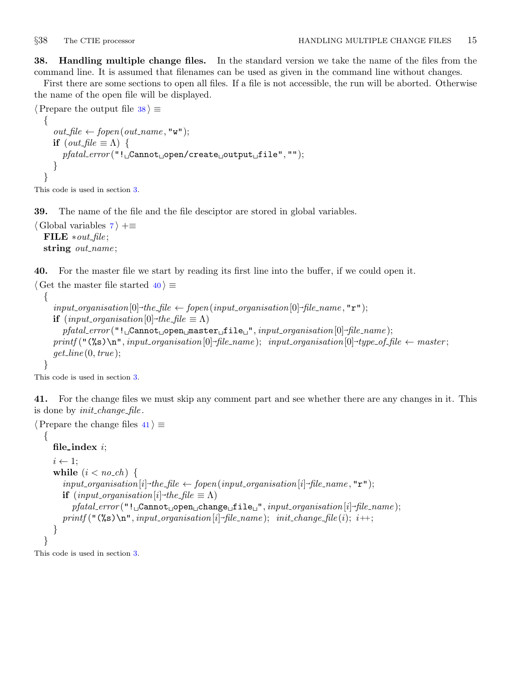<span id="page-15-0"></span>38. Handling multiple change files. In the standard version we take the name of the files from the command line. It is assumed that filenames can be used as given in the command line without changes.

First there are some sections to open all files. If a file is not accessible, the run will be aborted. Otherwise the name of the open file will be displayed.

```
\langle Prepare the output file 38 \rangle \equiv{
     out\_file \leftarrow fopen(out_name, "w");if (out\_file \equiv \Lambda) {
        pfatal error ("! Cannot open/create output file", "");
     }
   }
```
This code is used in section [3](#page-2-0).

39. The name of the file and the file desciptor are stored in global variables.

 $\langle$  Global variables [7](#page-3-0)  $\rangle$  +≡ FILE  $*out$ -file; string *out\_name*;

40. For the master file we start by reading its first line into the buffer, if we could open it.

```
\langle Get the master file started 40 \rangle \equiv{
      input\_organisation[0] \rightarrow the\_file \leftarrow fopen(input\_organisation[0] \rightarrow file\_name, "r");if (input\_organisation[0] \rightarrow the_{\text{f}} \text{ile} \equiv \Lambda)pfatal error ("! Cannot open master file ", input organisation[0]~
file name );
      \emph{printf} ("(%s)\n", input_organisation[0]-file_name); \input_organisation[0]-type_of_file \leftarrow master;
      get\_line(0, true);}
```
This code is used in section [3](#page-2-0).

41. For the change files we must skip any comment part and see whether there are any changes in it. This is done by *init\_change\_file*.

```
\langle Prepare the change files 41 \rangle \equiv
```

```
\left\{ \right.file_index i;
    i \leftarrow 1;
    while (i < no_cch) {
         input\_organisation[i] \text{-} the\_file \leftarrow fopen(input\_organisation[i] \text{-}file\_name", "r");if (input\_organisation[i] \rightarrow the_{\text{f}} \text{ile} \equiv \Lambda)\textit{pfdtal_error} ("!\textcolor{red}{\textsf{\_}C}annot\textcolor{red}{\textsf{\_}o}pen\textcolor{red}{\textsf{\_}C}hange\textcolor{red}{\textsf{\_}T}file\textcolor{red}{\textsf{\_}T}", \textit{input\_organisation[i]}\textcolor{red}{\textsf{-file\_name}});
         \emph{printf} ("(%s)\n", input_organisation[i]-file_name); \init_change_file(i); \i++;
    }
}
```
This code is used in section [3](#page-2-0).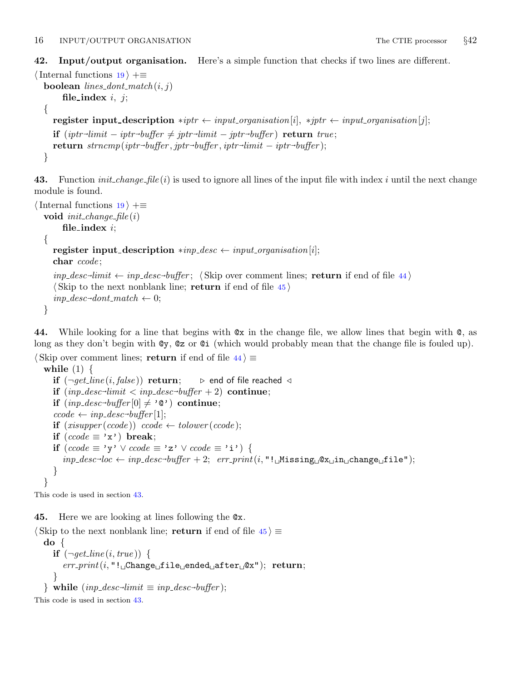<span id="page-16-0"></span>42. Input/output organisation. Here's a simple function that checks if two lines are different.

```
\{19 \rangle +≡
   boolean lines_dont_match(i, j)
          file_index i, j;{
      register input description *iptr ← input organisation[i], *jptr ← input organisation[j];
       if \left(\text{iptr}\text{-}\text{limit} - \text{iptr}\text{-}\text{buffer} \neq \text{jptr}\text{-}\text{limit} - \text{jptr}\text{-}\text{buffer}\right) return true;
       return \ \textit{strncmp}(\textit{iptr}\textit{-buffer}, \textit{iptr}\textit{-buffer}, \textit{iptr}\textit{-limit} - \textit{iptr}\textit{-buffer});
```

```
}
```
43. Function *init\_change\_file* (*i*) is used to ignore all lines of the input file with index *i* until the next change module is found.

```
\{19 \rangle +≡
  void init{\_}change{\_}file(i)file_index i;
  {
     register input_description *inp_desc \leftarrow input_organisation[i];
     char ccode;
     inp\_desc\text{-}limit \leftarrow inp\_desc\text{-}buffer; (Skip over comment lines; return if end of file 44)
     \langle Skip to the next nonblank line; return if end of file 45 \rangleinp\_desc\rightarrow dont\_match \leftarrow 0;
```

```
}
```
44. While looking for a line that begins with @x in the change file, we allow lines that begin with @, as long as they don't begin with @y, @z or @i (which would probably mean that the change file is fouled up).

```
\langle Skip over comment lines; return if end of file 44\rangle \equivwhile (1) \{if (\neg \text{get\_line}(i, \text{false})) return; \Rightarrow end of file reached \triangleleft
```

```
if (inp\_desc\text{-}limit < imp\_desc\text{-}buffer + 2) continue;
    \quad \  \  \, \textbf{if} \;\left(\textit{inp\_desc}\textit{-buffer}[0]\neq \textit{'0}\textit{'}\right) \;\textbf{continue};\text{code} \leftarrow \text{inp\_desc \rightarrow \text{buffer}}[1];if (xisupper(ccode))ccode \leftarrow tolower(ccode);if (ccode \equiv 'x') break;
   if (ccode \equiv 'y' ∨ ccode \equiv 'z' ∨ ccode \equiv 'i') {
        \mathit{inp\_desc\text{-}loc} \leftarrow \mathit{inp\_desc\text{-}buffer} + 2; \ \mathit{err\_print(i, "! \text{\_}Missing \text{\_} \& \text{\_}in_n \text{change} \text{\_}file");}}
}
```
This code is used in section 43.

45. Here we are looking at lines following the @x.

```
\langle Skip to the next nonblank line; return if end of file 45 \rangle \equivdo {
      if (\neg get\textit{line}(i, true)) {
         err\_print(i, "! \Box Change \Box file \Box ended \Box after \Box Qx"); return;}
   } while (np\_desc\text{-}limit \equiv inp\_desc\text{-}buffer);
```
This code is used in section 43.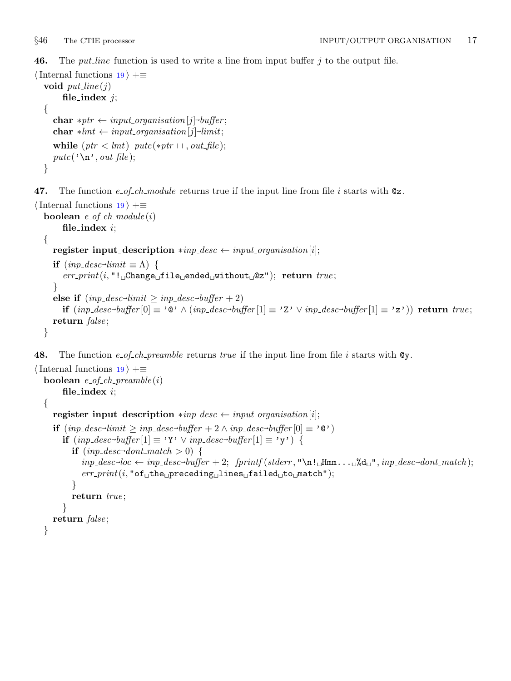<span id="page-17-0"></span>**46.** The *put line* function is used to write a line from input buffer  $j$  to the output file.

```
\{19 \rangle +≡
  void put\_line(j)file_index j;
  {
     \textbf{char} * ptr \leftarrow input\_organisation[j] \rightarrow buffer;\textbf{char} * lmt \leftarrow input\_organization[j] \text{-} limit;while (ptr < lmt) putc(*ptr++, out_file);putc('\n\cdot, out_file);}
```
47. The function e\_of\_ch\_module returns true if the input line from file i starts with  $\mathcal{Q}_z$ .

```
\{19 \rangle +≡
   boolean e_{of\_ch\_module}(i)file_index i;
   {
      register input_description *inp_desc \leftarrow input_organisation[i];
       if (np\_desc\text{-}limit \equiv \Lambda) {
          err print(i, "! Change file ended without @z"); return true ;
       }
       else if (np\_desc\text{-}limit \geq inp\_desc\text{-}buffer + 2)\textbf{if} \;(\mathit{inp\_desc} \text{-}\mathit{buffer}[0] \equiv \text{'0'} \land (\mathit{inp\_desc} \text{-}\mathit{buffer}[1] \equiv \text{'Z'} \lor \mathit{inp\_desc} \text{-}\mathit{buffer}[1] \equiv \text{'z'}) \text{ } \textbf{return} \; \mathit{true};return false;
   }
```
**48.** The function e\_of\_ch\_preamble returns true if the input line from file i starts with  $\mathbb{Q}y$ .

```
\{19 \rangle +≡
  boolean e_{of\_ch\_preamble}(i)file_index i;
  {
     register input_description *inp_desc \leftarrow input_organisation[i];
      if (\text{inp\_desc-limit} \ge \text{inp\_desc-buffer} + 2 \land \text{inp\_desc-buffer}[0] \equiv \text{'@'} )if (inp_desc-buffer[1] \equiv 'Y' ∨ inp_desc-buffer[1] \equiv 'y') {
           \textbf{if} \ (inp\_desc\text{-}dont\_match > 0) \ \{inp desc~
loc ← inp desc~
buffer + 2; fprintf (stderr , "\n! Hmm... %d ", inp desc~
dont match );
              err\_print(i, "of<sub>u</sub>the<sub>u</sub>preceding<sub>u</sub>lines<sub>u</sub> failed<sub>u</sub>to<sub>u</sub>match");}
           return true;
        }
     return false;
   }
```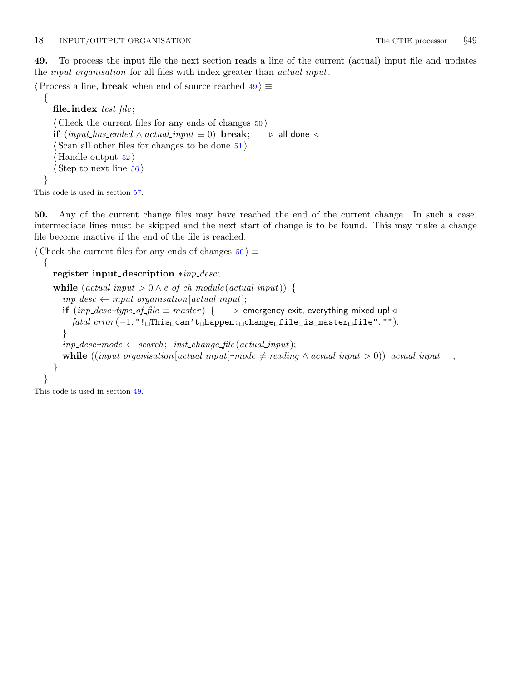<span id="page-18-0"></span>49. To process the input file the next section reads a line of the current (actual) input file and updates the *input organisation* for all files with index greater than *actual input*.

 $\langle$  Process a line, **break** when end of source reached  $49$   $\equiv$ 

```
file_index testfile;
\langle Check the current files for any ends of changes 50 \rangleif (input\_has\_ended \land actual\_input \equiv 0) break; \triangleright all done \triangleleft\langle Scan all other files for changes to be done 51 \rangle\langle52\rangle\langle56\rangle
```
This code is used in section [57](#page-20-0).

{

}

50. Any of the current change files may have reached the end of the current change. In such a case, intermediate lines must be skipped and the next start of change is to be found. This may make a change file become inactive if the end of the file is reached.

 $\langle$  Check the current files for any ends of changes  $50 \rangle \equiv$ 

```
{
   register input description ∗inp desc;
   while (\text{actual}.\text{input} > 0 \land \text{e\_of\_ch\_module}(\text{actual}.\text{input}))inp\_desc \leftarrow input\_organisation[actual\_input];if (np\_desc\rightarrow type\_of\_file \equiv master) {
                                                             \triangleright emergency exit, everything mixed up! ⊲
         \text{fatal\_error}(-1, "!\text{uThis}_\text{u} can't_\text{u}happen: uchange\text{ufile}_\text{u}is umaster\text{ufile}");
      }
      inp\_desc\rightarrow mode \leftarrow search; init\_change\_file(actual\_input);while ((input-organization[actual-input]~\neg mode \neq reading \land actual-input = 0)) actual input --;
   }
}
```
This code is used in section 49.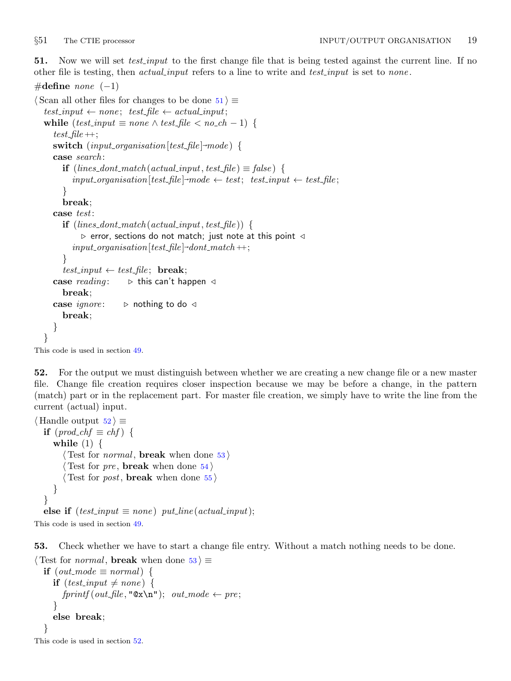<span id="page-19-0"></span>51. Now we will set *test input* to the first change file that is being tested against the current line. If no other file is testing, then *actual input* refers to a line to write and *test input* is set to *none*.

```
#define none (-1)\langle Scan all other files for changes to be done 51\rangle \equivtest\_input \leftarrow none; test\_file \leftarrow actual\_input;while (test\_input \equiv none \wedge test\_file < no\_ch - 1) {
      test-file ++;switch (input\_organisation[test_{file}] \rightarrow mode) {
      case search :
        if (lines\_dont\_match(actual\_input, test\_file) \equiv false) {
            input_{\text{op}} input organisation [test_file]-mode \leftarrow test; test_input \leftarrow test_file;
         }
         break;
      case test:
        \mathbf{if} \; (lines\_dot\_match(actual\_input, test\_file))\triangleright error, sections do not match; just note at this point \triangleleftinput\_organisation[test\_file] \textit{-}dot\_match++;}
         test_input \leftarrow test_file; break;
      case reading: \Rightarrow this can't happen \triangleleftbreak;
      case ignore: \triangleright nothing to do \triangleleftbreak;
      }
   }
This code is used in section 49.
```
52. For the output we must distinguish between whether we are creating a new change file or a new master file. Change file creation requires closer inspection because we may be before a change, in the pattern (match) part or in the replacement part. For master file creation, we simply have to write the line from the current (actual) input.

```
\langle Handle output 52\rangle \equivif (pred_c h f \equiv ch f) {
     while (1) \{\langle Test for normal, break when done 53 \rangle\langle Test for pre, break54\rangle\langle Test for post, break55 \rangle}
  }
  else if (test\_input \equiv none) put_line(actual_input);
```
This code is used in section [49](#page-18-0).

53. Check whether we have to start a change file entry. Without a match nothing needs to be done.

```
\langle Test for normal, break when done 53 \equivif (out\_mode \equiv normal) {
     if (test\_input \neq none) {
       fprintf(out\_file, "Qx\nn'); out-mode \leftarrow pre;}
     else break;
  }
```

```
This code is used in section 52.
```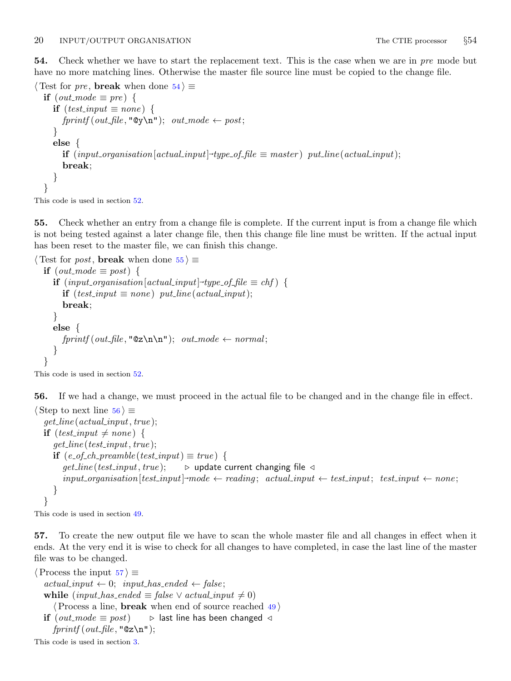<span id="page-20-0"></span>54. Check whether we have to start the replacement text. This is the case when we are in pre mode but have no more matching lines. Otherwise the master file source line must be copied to the change file.

```
\langle Test for pre, break when done 54\rangle \equivif (out\_mode \equiv pre) {
     if (test\_input \equiv none) {
        fprintf(out\_file, "Qy\n", out-mode \leftarrow post;}
     else {
         \textbf{if} \ (input\_organisation[actual\_input] \text{-type\_of\_file} \equiv master) \ \ put\_line(actual\_input);break;
      }
   }
```
This code is used in section [52](#page-19-0).

55. Check whether an entry from a change file is complete. If the current input is from a change file which is not being tested against a later change file, then this change file line must be written. If the actual input has been reset to the master file, we can finish this change.

```
\langle Test for post, break when done 55 \equivif (out\_mode \equiv post) {
      \textbf{if} \ (input\_organisation \ [actual\_input] \text{-}type \text{-}of \ \text{-}file \equiv \textit{chf} \ ) \ \{ \}if (test\_input \equiv none) put_line(actual_input);
         break;
      }
      else {
         fprintf(out\_file, "Qz\n\n\cdot); out\_mode \leftarrow normal;
      }
   }
```
This code is used in section [52](#page-19-0).

56. If we had a change, we must proceed in the actual file to be changed and in the change file in effect.

```
\langle Step to next line 56 \rangle \equivget\_line (actual\_input, true);if (test\_input \neq none) {
      get\_line(test\_input, true);\mathbf{if} (e_of_ch_preamble(test_input) \equiv true) {
         get\_line(test\_input, true); \rightarrow update current changing file \triangleleftinput\_organisation[test\_input]~\text{-}mode \leftarrow reading; actual\_input \leftarrow test\_input; test\_input \leftarrow none;}
   }
```
This code is used in section [49](#page-18-0).

57. To create the new output file we have to scan the whole master file and all changes in effect when it ends. At the very end it is wise to check for all changes to have completed, in case the last line of the master file was to be changed.

 $\langle$  Process the input 57  $\rangle \equiv$  $actual_input \leftarrow 0; input\_has\_ended \leftarrow false;$ while  $(input\_has\_ended \equiv false \vee actual\_input \neq 0)$  $\langle$  Process a line, **break** when end of source reached  $\langle 49 \rangle$  $\langle 49 \rangle$  $\langle 49 \rangle$ if (*out\_mode*  $\equiv$  *post*)  $\rightarrow$  last line has been changed ⊲  $fprintf(out\_file, "Qz\nn$ ");

This code is used in section [3](#page-2-0).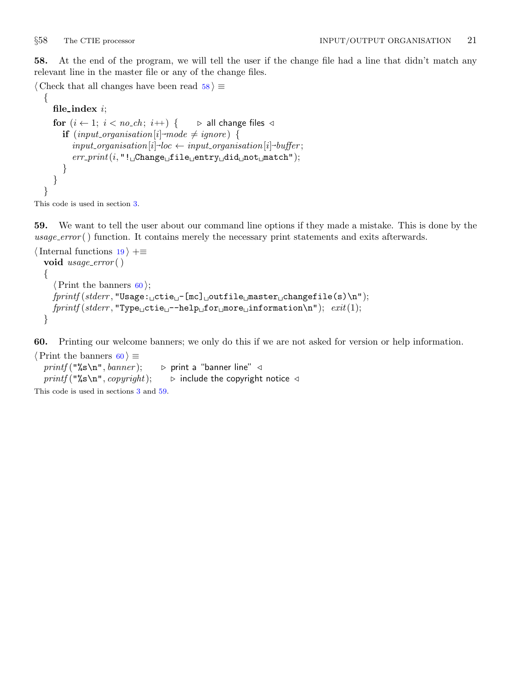{

}

<span id="page-21-0"></span>58. At the end of the program, we will tell the user if the change file had a line that didn't match any relevant line in the master file or any of the change files.

 $\langle$  Check that all changes have been read 58  $\rangle \equiv$ 

```
file_indexi;
for (i \leftarrow 1; i < no\_ch; i++) { \triangleright all change files \triangleleftif (input\_organisation[i] \rightarrow mode \neq ignore) {
       input\_organisation[i] \rightarrow loc \leftarrow input\_organisation[i] \rightarrow buffer;err\_print(i, "! \Box Change \Box file \Box entry \Box did \Box not \Box match");}
}
```
This code is used in section [3](#page-2-0).

59. We want to tell the user about our command line options if they made a mistake. This is done by the usage\_error() function. It contains merely the necessary print statements and exits afterwards.

```
\{19 \rangle +≡
  void usage_error()
  {
    \langle Print the banners 60\rangle;
    fprint(f, stderr, "Usage: _ictie_i -[mc]_{i} outfile master changefile(s)\n");
    fprint(f (stderr, "Type ⊥ctie ⊔ -help ⊥ for ⊥more⊟information\nu", exit(1);}
```
60. Printing our welcome banners; we only do this if we are not asked for version or help information.

```
\langle Print the banners 60 \rangle \equivprintf("%s\nn", banner); \Rightarrow print a "banner line" \triangleleftprintf ("%s\n", copyright); \triangleright include the copyright notice \triangleleftThis code is used in sections 3 and 59.
```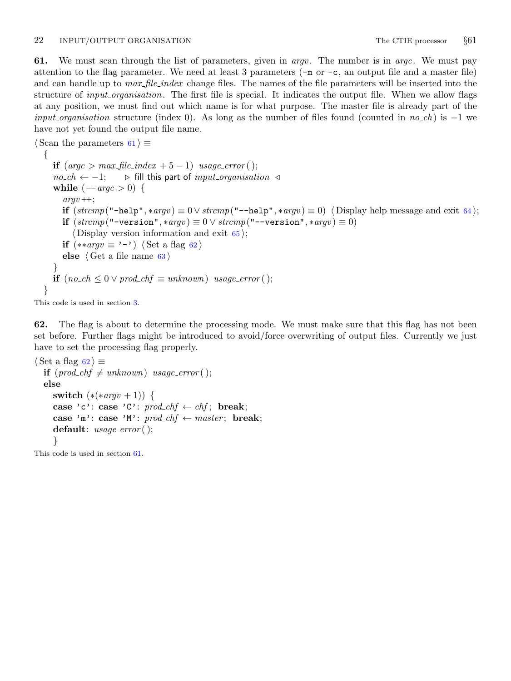<span id="page-22-0"></span>61. We must scan through the list of parameters, given in *argv*. The number is in *argc*. We must pay attention to the flag parameter. We need at least 3 parameters (−m or −c, an output file and a master file) and can handle up to *max-file-index* change files. The names of the file parameters will be inserted into the structure of *input organisation*. The first file is special. It indicates the output file. When we allow flags at any position, we must find out which name is for what purpose. The master file is already part of the *input organisation* structure (index 0). As long as the number of files found (counted in no ch) is  $-1$  we have not yet found the output file name.

```
\langle Scan the parameters 61\rangle \equiv\{if (\text{arg} c > \text{max\_file\_index} + 5 - 1) usage_error();
     no\_ch \leftarrow -1; \triangleright fill this part of input_organisation \triangleleftwhile (-argc > 0) {
       arav +:
       if (strcmp("-help", *argv) \equiv 0 \vee stremp("--help", *argv) \equiv 0 \langle64\rangle;
       if (strcmp("-version", *argv) \equiv 0 \vee strcmp("--version", *argv) \equiv 0)\langle65\rangle;
       if (**\arg v \equiv'-') \langle Set a flag 62\rangleelse \langle63 \rangle}
     if (no\_ch \leq 0 \vee prod\_chf \equiv unknown) usage_error();
  }
```
This code is used in section [3](#page-2-0).

62. The flag is about to determine the processing mode. We must make sure that this flag has not been set before. Further flags might be introduced to avoid/force overwriting of output files. Currently we just have to set the processing flag properly.

```
\langle Set a flag 62\rangle \equivif (pred_c h f \neq unknown) usage_error();
  else
     switch (*(*\arg v + 1)) {
     case 'c': case 'C': \text{prod\_chf} \leftarrow \text{chf}; break;
     case 'm': case 'M': \textit{prod\_chf} \leftarrow \textit{master}; break;
     default: usage_error();
      }
```
This code is used in section 61.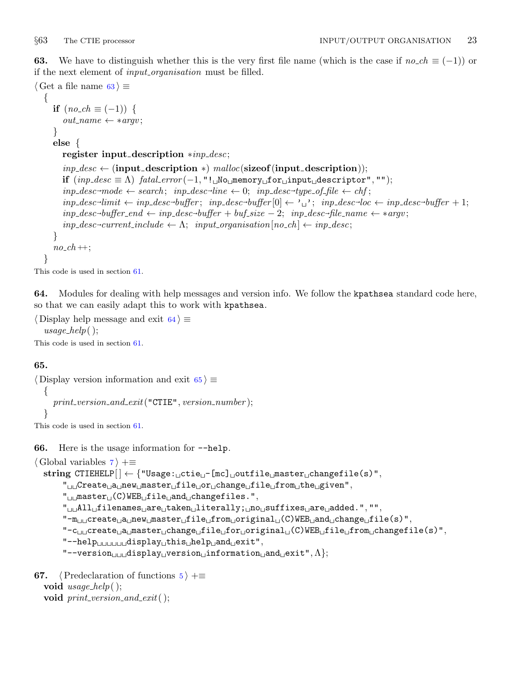<span id="page-23-0"></span>63. We have to distinguish whether this is the very first file name (which is the case if  $no\_ch \equiv (-1)$ ) or if the next element of *input\_organisation* must be filled.

```
\langle Get a file name 63 \rangle \equiv{
       if (no\_ch \equiv (-1)) {
          out_name \leftarrow *argv;}
       else {
          register input description ∗inp desc;
          inp\_desc \leftarrow (input\_description *) \text{ } malloc(sizeof (input\_description));if (inp\_desc \equiv \Lambda) fatal_error (-1, "! \text{...No} \text{...memory} \text{...for} \text{...input} \text{...description", "";
           inp\_desc \rightarrow mech; \ np\_desc \rightarrow line \leftarrow 0; \ inp\_desc \rightarrow type\_of\_file \leftarrow chf;inp\_desc\rightarrow limit \leftarrow inp\_desc\rightarrow buffer; \; inp\_desc\rightarrow buffer[0] \leftarrow \text{'\text{'}\text{''}}; \; inp\_desc\rightarrow loc \leftarrow inp\_desc\rightarrow buffer+1;inp\_desc\rightarrow buffer\_end \leftarrow inp\_desc\rightarrow buffer +buf\_size - 2; \ \ inp\_desc\rightarrow file\_name \leftarrow *argv;inp\_desc\text{-}current\_include \leftarrow \Lambda; \; input\_organisation[no\_ch] \leftarrow inp\_desc;}
       no\_ch +;
   }
```

```
This code is used in section 61.
```
64. Modules for dealing with help messages and version info. We follow the kpathsea standard code here, so that we can easily adapt this to work with kpathsea.

```
\langle Display help message and exit 64\rangle \equivusage\_help();
This code is used in section 61.
```
## 65.

```
\langle Display version information and exit 65 \rangle \equiv\left\{ \right.print\_version\_and\_exit ("CTIE", version\_number);
   }
```
This code is used in section [61](#page-22-0).

66. Here is the usage information for −−help.

```
\langle Global variables \langle7 \rangle +≡
   string CTIEHELP[\ ] \leftarrow {\{ "Usage: _{ \sqcup \texttt{cite}_{ \sqcup } [mc] \ } }_ \sqcup \texttt{outfile} \sqcup \texttt{master} \sqcup \texttt{changefile} (s) \ }"," Create a new master file or change file from the given",
           "<sub>U\cup</sub>master\cup (C)WEB\cupfile\cupand\cupchangefiles.",
           "<sub>UU</sub>All<sub>U</sub>filenames<sub>U</sub>are<sub>U</sub>taken<sub>U</sub>literally; <sub>U</sub>no<sub>U</sub>suffixes<sub>U</sub>are<sub>U</sub>added.", "",
           "-m<sub>uu</sub>create<sub>u</sub>a<sub>u</sub>new<sub>u</sub>masterufileufromuoriginalu(C)WEBuanduchangeufile(s)",
           "-c<sub>⊔⊔</sub>create<sub>u</sub>a<sub>u</sub>master<sub>⊔</sub>change<sub>u</sub>file<sub>u</sub>for<sub>u</sub>original<sub>u</sub>(C)WEB<sub>u</sub>file<sub>u</sub>from<sub>u</sub>changefile(s)",
           "--help<sub>uuuuuu</sub>display<sub>u</sub>this<sub>u</sub>help<sub>u</sub>and<sub>u</sub>exit",
           "--version u_{\text{full}}displayu_{\text{v}}versionu_{\text{full}}informationu_{\text{full}}andu_{\text{cell}}exit",\Lambda};
```

```
67. (Predeclaration of functions 5) +≡
  void usage\_help();
  void print\_version\_and\_exit();
```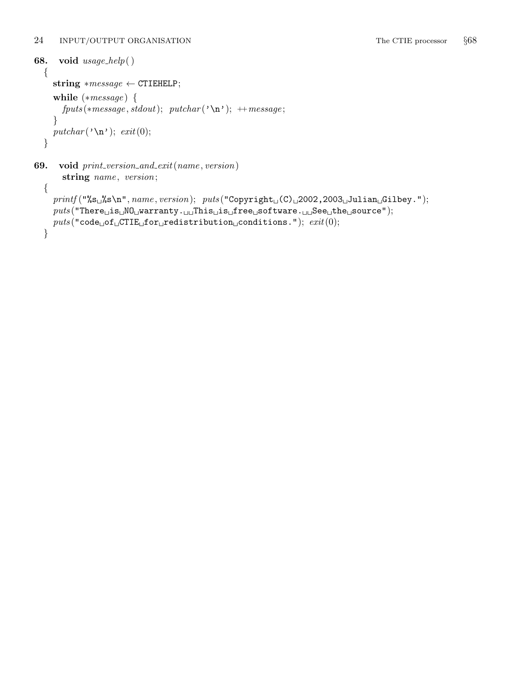}

```
68. void usage help( )
  {
     string *message \leftarrow \text{CTIEHELP};while (*message) {
       fputs(*message, stdout); putchar(<math>\infty</math>); ++message;
     }
     putchar('\n\rightharpoonupn'); exit(0);
  }
69. void print_version_and_exit(name, version)
       string name, version;
  {
     print([\n\%s_u\%s\n\cdot name, version);\ \nputs([\n\text{Copyright}(\text{C})_u2002,2003_u\text{Julian}_uGilbey.");
```
 $puts("There<sub>u</sub>is<sub>u</sub>M0<sub>u</sub>warranty. <sub>uu</sub>This<sub>u</sub>ise<sub>u</sub>settware. <sub>uu</sub>See<sub>u</sub>the<sub>u</sub>source";$ 

 $\textit{puts}(\texttt{"code\_of\_CTIE\_for\_redistribution\_conditions.");\;exit(0);$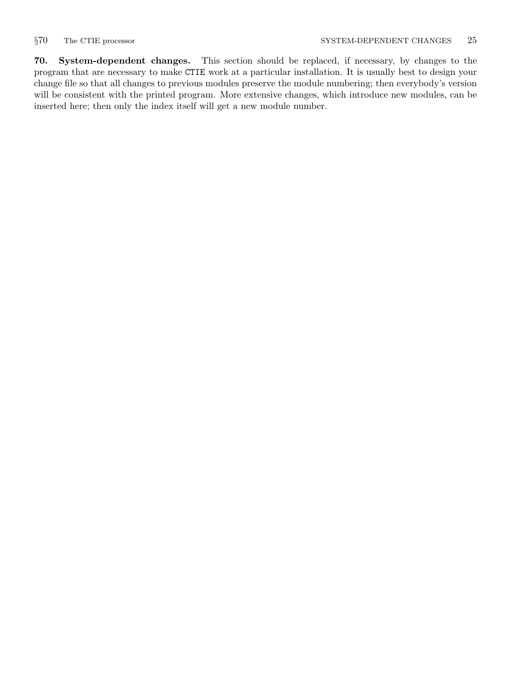<span id="page-25-0"></span>70. System-dependent changes. This section should be replaced, if necessary, by changes to the program that are necessary to make CTIE work at a particular installation. It is usually best to design your change file so that all changes to previous modules preserve the module numbering; then everybody's version will be consistent with the printed program. More extensive changes, which introduce new modules, can be inserted here; then only the index itself will get a new module number.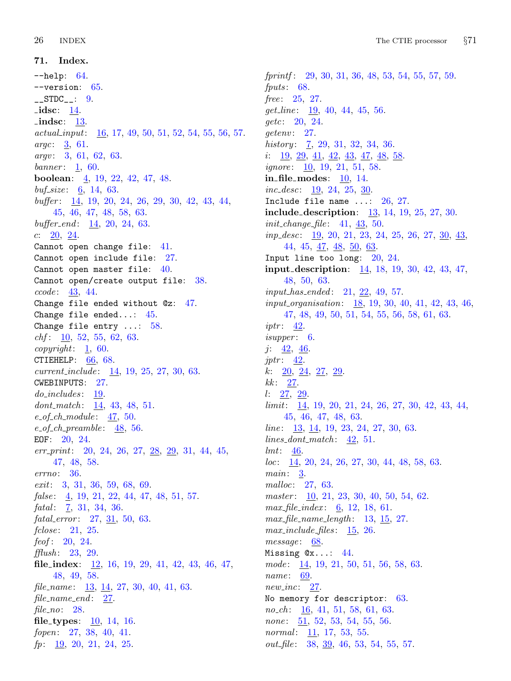<span id="page-26-0"></span>71. Index. −−help: [64.](#page-23-0) −−version: [65](#page-23-0).  $-$ STDC $-$ : [9](#page-4-0). idsc: [14](#page-6-0). indsc: [13.](#page-5-0) actual input: [16](#page-6-0), [17](#page-6-0), [49](#page-18-0), [50](#page-18-0), [51](#page-19-0), [52](#page-19-0), [54,](#page-20-0) [55,](#page-20-0) [56,](#page-20-0) [57.](#page-20-0) argc: [3,](#page-2-0) [61.](#page-22-0) argv: [3](#page-2-0), [61,](#page-22-0) [62,](#page-22-0) [63.](#page-23-0) banner:  $\frac{1}{60}$  $\frac{1}{60}$  $\frac{1}{60}$ . boolean: [4](#page-2-0), [19](#page-7-0), [22](#page-8-0), [42](#page-16-0), [47](#page-17-0), [48](#page-17-0).  $buf\_size: 6, 14, 63.$  $buf\_size: 6, 14, 63.$  $buf\_size: 6, 14, 63.$  $buf\_size: 6, 14, 63.$  $buf\_size: 6, 14, 63.$  $buf\_size: 6, 14, 63.$  $buf\_size: 6, 14, 63.$ buffer : [14](#page-6-0), [19](#page-7-0), [20,](#page-7-0) [24](#page-8-0), [26,](#page-9-0) [29,](#page-12-0) [30](#page-13-0), [42,](#page-16-0) [43](#page-16-0), [44](#page-16-0), [45,](#page-16-0) [46](#page-17-0), [47,](#page-17-0) [48](#page-17-0), [58,](#page-21-0) [63.](#page-23-0)  $buffer\_end:$  [14,](#page-6-0) [20](#page-7-0), [24,](#page-8-0) [63](#page-23-0). c:  $20, 24$  $20, 24$  $20, 24$ . Cannot open change file: [41.](#page-15-0) Cannot open include file: [27.](#page-10-0) Cannot open master file: [40.](#page-15-0) Cannot open/create output file: [38](#page-15-0). ccode : [43](#page-16-0), [44](#page-16-0). Change file ended without @z: [47.](#page-17-0) Change file ended...: [45.](#page-16-0) Change file entry ...: [58](#page-21-0).  $chf: \underline{10}, 52, 55, 62, 63.$  $chf: \underline{10}, 52, 55, 62, 63.$  $chf: \underline{10}, 52, 55, 62, 63.$  $chf: \underline{10}, 52, 55, 62, 63.$  $chf: \underline{10}, 52, 55, 62, 63.$  $chf: \underline{10}, 52, 55, 62, 63.$  $chf: \underline{10}, 52, 55, 62, 63.$  $chf: \underline{10}, 52, 55, 62, 63.$  $chf: \underline{10}, 52, 55, 62, 63.$  $chf: \underline{10}, 52, 55, 62, 63.$  $chf: \underline{10}, 52, 55, 62, 63.$  $copyright: \underline{1}, 60.$  $copyright: \underline{1}, 60.$  $copyright: \underline{1}, 60.$ CTIEHELP:  $66, 68$  $66, 68$ .  $current\_include: \quad \underline{14}, \, 19, \, 25, \, 27, \, 30, \, 63.$  $current\_include: \quad \underline{14}, \, 19, \, 25, \, 27, \, 30, \, 63.$  $current\_include: \quad \underline{14}, \, 19, \, 25, \, 27, \, 30, \, 63.$  $current\_include: \quad \underline{14}, \, 19, \, 25, \, 27, \, 30, \, 63.$  $current\_include: \quad \underline{14}, \, 19, \, 25, \, 27, \, 30, \, 63.$  $current\_include: \quad \underline{14}, \, 19, \, 25, \, 27, \, 30, \, 63.$  $current\_include: \quad \underline{14}, \, 19, \, 25, \, 27, \, 30, \, 63.$  $current\_include: \quad \underline{14}, \, 19, \, 25, \, 27, \, 30, \, 63.$  $current\_include: \quad \underline{14}, \, 19, \, 25, \, 27, \, 30, \, 63.$  $current\_include: \quad \underline{14}, \, 19, \, 25, \, 27, \, 30, \, 63.$  $current\_include: \quad \underline{14}, \, 19, \, 25, \, 27, \, 30, \, 63.$ CWEBINPUTS: [27.](#page-10-0)  $do\_includes: \quad \underline{19}.$ dont match:  $14, 43, 48, 51$  $14, 43, 48, 51$  $14, 43, 48, 51$  $14, 43, 48, 51$  $14, 43, 48, 51$  $14, 43, 48, 51$ .  $e_{\text{-}}$ *of*<sub>-ch-module:  $\frac{47}{50}$  $\frac{47}{50}$  $\frac{47}{50}$ .</sub>  $e_{\text{-}}$ of<sub>-</sub>ch-preamble:  $\frac{48}{56}$  $\frac{48}{56}$  $\frac{48}{56}$ . EOF: [20,](#page-7-0) [24](#page-8-0).  $err\_print: \quad 20, \ 24, \ 26, \ 27, \ \underline{28}, \ \underline{29}, \ 31, \ 44, \ 45,$  $err\_print: \quad 20, \ 24, \ 26, \ 27, \ \underline{28}, \ \underline{29}, \ 31, \ 44, \ 45,$  $err\_print: \quad 20, \ 24, \ 26, \ 27, \ \underline{28}, \ \underline{29}, \ 31, \ 44, \ 45,$  $err\_print: \quad 20, \ 24, \ 26, \ 27, \ \underline{28}, \ \underline{29}, \ 31, \ 44, \ 45,$  $err\_print: \quad 20, \ 24, \ 26, \ 27, \ \underline{28}, \ \underline{29}, \ 31, \ 44, \ 45,$  $err\_print: \quad 20, \ 24, \ 26, \ 27, \ \underline{28}, \ \underline{29}, \ 31, \ 44, \ 45,$  $err\_print: \quad 20, \ 24, \ 26, \ 27, \ \underline{28}, \ \underline{29}, \ 31, \ 44, \ 45,$  $err\_print: \quad 20, \ 24, \ 26, \ 27, \ \underline{28}, \ \underline{29}, \ 31, \ 44, \ 45,$  $err\_print: \quad 20, \ 24, \ 26, \ 27, \ \underline{28}, \ \underline{29}, \ 31, \ 44, \ 45,$  $err\_print: \quad 20, \ 24, \ 26, \ 27, \ \underline{28}, \ \underline{29}, \ 31, \ 44, \ 45,$  $err\_print: \quad 20, \ 24, \ 26, \ 27, \ \underline{28}, \ \underline{29}, \ 31, \ 44, \ 45,$  $err\_print: \quad 20, \ 24, \ 26, \ 27, \ \underline{28}, \ \underline{29}, \ 31, \ 44, \ 45,$  $err\_print: \quad 20, \ 24, \ 26, \ 27, \ \underline{28}, \ \underline{29}, \ 31, \ 44, \ 45,$  $err\_print: \quad 20, \ 24, \ 26, \ 27, \ \underline{28}, \ \underline{29}, \ 31, \ 44, \ 45,$  $err\_print: \quad 20, \ 24, \ 26, \ 27, \ \underline{28}, \ \underline{29}, \ 31, \ 44, \ 45,$  $err\_print: \quad 20, \ 24, \ 26, \ 27, \ \underline{28}, \ \underline{29}, \ 31, \ 44, \ 45,$  $err\_print: \quad 20, \ 24, \ 26, \ 27, \ \underline{28}, \ \underline{29}, \ 31, \ 44, \ 45,$  $err\_print: \quad 20, \ 24, \ 26, \ 27, \ \underline{28}, \ \underline{29}, \ 31, \ 44, \ 45,$ [47,](#page-17-0) [48,](#page-17-0) [58](#page-21-0). errno: [36.](#page-14-0) exit: [3,](#page-2-0) [31](#page-13-0), [36](#page-14-0), [59,](#page-21-0) [68](#page-24-0), [69](#page-24-0). false:  $\frac{4}{9}$  $\frac{4}{9}$  $\frac{4}{9}$ , [19](#page-7-0), [21,](#page-8-0) [22](#page-8-0), [44](#page-16-0), [47,](#page-17-0) [48](#page-17-0), [51](#page-19-0), [57.](#page-20-0) fatal:  $\frac{7}{5}$  $\frac{7}{5}$  $\frac{7}{5}$ , [31](#page-13-0), [34,](#page-14-0) [36.](#page-14-0)  $fatal_error: 27, 31, 50, 63.$  $fatal_error: 27, 31, 50, 63.$  $fatal_error: 27, 31, 50, 63.$  $fatal_error: 27, 31, 50, 63.$  $fatal_error: 27, 31, 50, 63.$  $fatal_error: 27, 31, 50, 63.$  $fatal_error: 27, 31, 50, 63.$  $fatal_error: 27, 31, 50, 63.$  $fclose: 21, 25.$  $fclose: 21, 25.$  $fclose: 21, 25.$  $fclose: 21, 25.$ *feof* :  $20, 24$  $20, 24$ .  $\text{fflush}: \quad 23, \quad 29.$  $\text{fflush}: \quad 23, \quad 29.$  $\text{fflush}: \quad 23, \quad 29.$  $\text{fflush}: \quad 23, \quad 29.$  $\text{fflush}: \quad 23, \quad 29.$ file\_index:  $\frac{12}{16}$  $\frac{12}{16}$  $\frac{12}{16}$  $\frac{12}{16}$  $\frac{12}{16}$ , 16, [19](#page-7-0), [29,](#page-12-0) [41,](#page-15-0) [42](#page-16-0), [43](#page-16-0), [46](#page-17-0), [47,](#page-17-0) [48,](#page-17-0) [49,](#page-18-0) [58](#page-21-0). file\_name:  $\frac{13}{14}$ , [27](#page-10-0), [30](#page-13-0), [40,](#page-15-0) [41,](#page-15-0) [63.](#page-23-0) file\_name\_end:  $27$ . file  $\mathfrak{p}_2$  no: [28.](#page-12-0) file\_types:  $10, 14, 16$  $10, 14, 16$  $10, 14, 16$  $10, 14, 16$ . fopen: [27,](#page-10-0) [38,](#page-15-0) [40](#page-15-0), [41.](#page-15-0)  $fp: \underline{19}, 20, 21, 24, 25.$  $fp: \underline{19}, 20, 21, 24, 25.$  $fp: \underline{19}, 20, 21, 24, 25.$  $fp: \underline{19}, 20, 21, 24, 25.$  $fp: \underline{19}, 20, 21, 24, 25.$  $fp: \underline{19}, 20, 21, 24, 25.$  $fp: \underline{19}, 20, 21, 24, 25.$  $fp: \underline{19}, 20, 21, 24, 25.$  $fp: \underline{19}, 20, 21, 24, 25.$ 

 $fprint: \quad 29, \, 30, \, 31, \, 36, \, 48, \, 53, \, 54, \, 55, \, 57, \, 59.$  $fprint: \quad 29, \, 30, \, 31, \, 36, \, 48, \, 53, \, 54, \, 55, \, 57, \, 59.$  $fprint: \quad 29, \, 30, \, 31, \, 36, \, 48, \, 53, \, 54, \, 55, \, 57, \, 59.$  $fprint: \quad 29, \, 30, \, 31, \, 36, \, 48, \, 53, \, 54, \, 55, \, 57, \, 59.$  $fprint: \quad 29, \, 30, \, 31, \, 36, \, 48, \, 53, \, 54, \, 55, \, 57, \, 59.$  $fprint: \quad 29, \, 30, \, 31, \, 36, \, 48, \, 53, \, 54, \, 55, \, 57, \, 59.$  $fprint: \quad 29, \, 30, \, 31, \, 36, \, 48, \, 53, \, 54, \, 55, \, 57, \, 59.$  $fprint: \quad 29, \, 30, \, 31, \, 36, \, 48, \, 53, \, 54, \, 55, \, 57, \, 59.$  $fprint: \quad 29, \, 30, \, 31, \, 36, \, 48, \, 53, \, 54, \, 55, \, 57, \, 59.$  $fprint: \quad 29, \, 30, \, 31, \, 36, \, 48, \, 53, \, 54, \, 55, \, 57, \, 59.$  $fprint: \quad 29, \, 30, \, 31, \, 36, \, 48, \, 53, \, 54, \, 55, \, 57, \, 59.$  $fprint: \quad 29, \, 30, \, 31, \, 36, \, 48, \, 53, \, 54, \, 55, \, 57, \, 59.$  $fprint: \quad 29, \, 30, \, 31, \, 36, \, 48, \, 53, \, 54, \, 55, \, 57, \, 59.$  $fprint: \quad 29, \, 30, \, 31, \, 36, \, 48, \, 53, \, 54, \, 55, \, 57, \, 59.$  $fprint: \quad 29, \, 30, \, 31, \, 36, \, 48, \, 53, \, 54, \, 55, \, 57, \, 59.$  $fprint: \quad 29, \, 30, \, 31, \, 36, \, 48, \, 53, \, 54, \, 55, \, 57, \, 59.$  $fprint: \quad 29, \, 30, \, 31, \, 36, \, 48, \, 53, \, 54, \, 55, \, 57, \, 59.$  $fprint: \quad 29, \, 30, \, 31, \, 36, \, 48, \, 53, \, 54, \, 55, \, 57, \, 59.$  $fprint: \quad 29, \, 30, \, 31, \, 36, \, 48, \, 53, \, 54, \, 55, \, 57, \, 59.$  $fprint: \quad 29, \, 30, \, 31, \, 36, \, 48, \, 53, \, 54, \, 55, \, 57, \, 59.$ fputs:  $68$ . free: [25](#page-8-0), [27.](#page-10-0) get<sub>-line</sub>: [19,](#page-7-0) [40](#page-15-0), [44](#page-16-0), [45,](#page-16-0) [56](#page-20-0). getc: [20,](#page-7-0) [24.](#page-8-0)  $getenv: 27.$  $getenv: 27.$  $getenv: 27.$ history: [7,](#page-3-0) [29,](#page-12-0) [31](#page-13-0), [32](#page-13-0), [34](#page-14-0), [36.](#page-14-0) i:  $\frac{19}{29}$  $\frac{19}{29}$  $\frac{19}{29}$  $\frac{19}{29}$  $\frac{19}{29}$ ,  $\frac{29}{41}$  $\frac{29}{41}$  $\frac{29}{41}$ ,  $\frac{42}{43}$  $\frac{42}{43}$  $\frac{42}{43}$  $\frac{42}{43}$  $\frac{42}{43}$ ,  $\frac{43}{47}$  $\frac{43}{47}$  $\frac{43}{47}$ ,  $\frac{48}{58}$  $\frac{48}{58}$  $\frac{48}{58}$  $\frac{48}{58}$  $\frac{48}{58}$ . *ignore*: [10,](#page-5-0) [19,](#page-7-0) [21](#page-8-0), [51,](#page-19-0) [58.](#page-21-0) in file modes: [10,](#page-5-0) [14](#page-6-0).  $inc\_desc:$   $\frac{19}{2}, 24, 25, \frac{30}{2}.$  $\frac{19}{2}, 24, 25, \frac{30}{2}.$  $\frac{19}{2}, 24, 25, \frac{30}{2}.$  $\frac{19}{2}, 24, 25, \frac{30}{2}.$  $\frac{19}{2}, 24, 25, \frac{30}{2}.$  $\frac{19}{2}, 24, 25, \frac{30}{2}.$  $\frac{19}{2}, 24, 25, \frac{30}{2}.$ Include file name  $\dots: 26, 27.$  $\dots: 26, 27.$  $\dots: 26, 27.$  $\dots: 26, 27.$ include description:  $13, 14, 19, 25, 27, 30.$  $13, 14, 19, 25, 27, 30.$  $13, 14, 19, 25, 27, 30.$  $13, 14, 19, 25, 27, 30.$  $13, 14, 19, 25, 27, 30.$  $13, 14, 19, 25, 27, 30.$  $13, 14, 19, 25, 27, 30.$  $13, 14, 19, 25, 27, 30.$  $13, 14, 19, 25, 27, 30.$  $13, 14, 19, 25, 27, 30.$  $13, 14, 19, 25, 27, 30.$  $init\_change\_file: 41, 43, 50.$  $init\_change\_file: 41, 43, 50.$  $init\_change\_file: 41, 43, 50.$  $init\_change\_file: 41, 43, 50.$  $init\_change\_file: 41, 43, 50.$  $init\_change\_file: 41, 43, 50.$  $init\_change\_file: 41, 43, 50.$  $inp\_desc: \underline{19}, 20, 21, 23, 24, 25, 26, 27, \underline{30}, \underline{43},$  $inp\_desc: \underline{19}, 20, 21, 23, 24, 25, 26, 27, \underline{30}, \underline{43},$  $inp\_desc: \underline{19}, 20, 21, 23, 24, 25, 26, 27, \underline{30}, \underline{43},$  $inp\_desc: \underline{19}, 20, 21, 23, 24, 25, 26, 27, \underline{30}, \underline{43},$  $inp\_desc: \underline{19}, 20, 21, 23, 24, 25, 26, 27, \underline{30}, \underline{43},$  $inp\_desc: \underline{19}, 20, 21, 23, 24, 25, 26, 27, \underline{30}, \underline{43},$  $inp\_desc: \underline{19}, 20, 21, 23, 24, 25, 26, 27, \underline{30}, \underline{43},$  $inp\_desc: \underline{19}, 20, 21, 23, 24, 25, 26, 27, \underline{30}, \underline{43},$  $inp\_desc: \underline{19}, 20, 21, 23, 24, 25, 26, 27, \underline{30}, \underline{43},$  $inp\_desc: \underline{19}, 20, 21, 23, 24, 25, 26, 27, \underline{30}, \underline{43},$  $inp\_desc: \underline{19}, 20, 21, 23, 24, 25, 26, 27, \underline{30}, \underline{43},$  $inp\_desc: \underline{19}, 20, 21, 23, 24, 25, 26, 27, \underline{30}, \underline{43},$  $inp\_desc: \underline{19}, 20, 21, 23, 24, 25, 26, 27, \underline{30}, \underline{43},$  $inp\_desc: \underline{19}, 20, 21, 23, 24, 25, 26, 27, \underline{30}, \underline{43},$  $inp\_desc: \underline{19}, 20, 21, 23, 24, 25, 26, 27, \underline{30}, \underline{43},$  $inp\_desc: \underline{19}, 20, 21, 23, 24, 25, 26, 27, \underline{30}, \underline{43},$  $inp\_desc: \underline{19}, 20, 21, 23, 24, 25, 26, 27, \underline{30}, \underline{43},$  $inp\_desc: \underline{19}, 20, 21, 23, 24, 25, 26, 27, \underline{30}, \underline{43},$  $inp\_desc: \underline{19}, 20, 21, 23, 24, 25, 26, 27, \underline{30}, \underline{43},$  $inp\_desc: \underline{19}, 20, 21, 23, 24, 25, 26, 27, \underline{30}, \underline{43},$  $inp\_desc: \underline{19}, 20, 21, 23, 24, 25, 26, 27, \underline{30}, \underline{43},$ [44,](#page-16-0) [45](#page-16-0), [47,](#page-17-0) [48](#page-17-0), [50](#page-18-0), [63.](#page-23-0) Input line too long: [20,](#page-7-0) [24.](#page-8-0) input description:  $14, 18, 19, 30, 42, 43, 47,$  $14, 18, 19, 30, 42, 43, 47,$  $14, 18, 19, 30, 42, 43, 47,$  $14, 18, 19, 30, 42, 43, 47,$  $14, 18, 19, 30, 42, 43, 47,$  $14, 18, 19, 30, 42, 43, 47,$  $14, 18, 19, 30, 42, 43, 47,$  $14, 18, 19, 30, 42, 43, 47,$  $14, 18, 19, 30, 42, 43, 47,$  $14, 18, 19, 30, 42, 43, 47,$  $14, 18, 19, 30, 42, 43, 47,$  $14, 18, 19, 30, 42, 43, 47,$  $14, 18, 19, 30, 42, 43, 47,$  $14, 18, 19, 30, 42, 43, 47,$ [48,](#page-17-0) [50,](#page-18-0) [63.](#page-23-0) input has ended : [21,](#page-8-0) [22,](#page-8-0) [49,](#page-18-0) [57.](#page-20-0) input organisation: [18](#page-6-0), [19,](#page-7-0) [30](#page-13-0), [40](#page-15-0), [41,](#page-15-0) [42](#page-16-0), [43](#page-16-0), [46,](#page-17-0) [47,](#page-17-0) [48](#page-17-0), [49,](#page-18-0) [50](#page-18-0), [51](#page-19-0), [54,](#page-20-0) [55](#page-20-0), [56,](#page-20-0) [58](#page-21-0), [61,](#page-22-0) [63.](#page-23-0) iptr:  $42.$  $is upper: 6.$  $is upper: 6.$  $is upper: 6.$ j:  $\frac{42}{5}$  $\frac{42}{5}$  $\frac{42}{5}$ ,  $\frac{46}{5}$ .  $jptr: \underline{42}.$  $k: \underline{20}, \underline{24}, \underline{27}, \underline{29}.$  $k: \underline{20}, \underline{24}, \underline{27}, \underline{29}.$  $k: \underline{20}, \underline{24}, \underline{27}, \underline{29}.$  $k: \underline{20}, \underline{24}, \underline{27}, \underline{29}.$  $k: \underline{20}, \underline{24}, \underline{27}, \underline{29}.$  $kk: 27.$  $kk: 27.$  $kk: 27.$  $l: \frac{27}{29}.$  $l: \frac{27}{29}.$  $l: \frac{27}{29}.$  $limit: \underline{14}$  $limit: \underline{14}$  $limit: \underline{14}$ , [19](#page-7-0), [20,](#page-7-0) [21,](#page-8-0) [24](#page-8-0), [26](#page-9-0), [27](#page-10-0), [30,](#page-13-0) [42,](#page-16-0) [43](#page-16-0), [44](#page-16-0), [45,](#page-16-0) [46](#page-17-0), [47](#page-17-0), [48,](#page-17-0) [63](#page-23-0). *line*:  $\frac{13}{14}$ ,  $\frac{14}{19}$  $\frac{14}{19}$  $\frac{14}{19}$ ,  $\frac{23}{24}$  $\frac{23}{24}$  $\frac{23}{24}$  $\frac{23}{24}$  $\frac{23}{24}$ ,  $\frac{27}{27}$  $\frac{27}{27}$  $\frac{27}{27}$ ,  $\frac{30}{63}$ .  $lines\_dont\_match:$   $\underline{42}$  $\underline{42}$  $\underline{42}$ , [51.](#page-19-0) lmt: [46](#page-17-0).  $loc: \underline{14}, 20, 24, 26, 27, 30, 44, 48, 58, 63.$  $loc: \underline{14}, 20, 24, 26, 27, 30, 44, 48, 58, 63.$  $loc: \underline{14}, 20, 24, 26, 27, 30, 44, 48, 58, 63.$  $loc: \underline{14}, 20, 24, 26, 27, 30, 44, 48, 58, 63.$  $loc: \underline{14}, 20, 24, 26, 27, 30, 44, 48, 58, 63.$  $loc: \underline{14}, 20, 24, 26, 27, 30, 44, 48, 58, 63.$  $loc: \underline{14}, 20, 24, 26, 27, 30, 44, 48, 58, 63.$  $loc: \underline{14}, 20, 24, 26, 27, 30, 44, 48, 58, 63.$  $loc: \underline{14}, 20, 24, 26, 27, 30, 44, 48, 58, 63.$  $loc: \underline{14}, 20, 24, 26, 27, 30, 44, 48, 58, 63.$  $loc: \underline{14}, 20, 24, 26, 27, 30, 44, 48, 58, 63.$  $loc: \underline{14}, 20, 24, 26, 27, 30, 44, 48, 58, 63.$  $loc: \underline{14}, 20, 24, 26, 27, 30, 44, 48, 58, 63.$  $loc: \underline{14}, 20, 24, 26, 27, 30, 44, 48, 58, 63.$  $loc: \underline{14}, 20, 24, 26, 27, 30, 44, 48, 58, 63.$  $loc: \underline{14}, 20, 24, 26, 27, 30, 44, 48, 58, 63.$  $loc: \underline{14}, 20, 24, 26, 27, 30, 44, 48, 58, 63.$  $loc: \underline{14}, 20, 24, 26, 27, 30, 44, 48, 58, 63.$  $loc: \underline{14}, 20, 24, 26, 27, 30, 44, 48, 58, 63.$  $loc: \underline{14}, 20, 24, 26, 27, 30, 44, 48, 58, 63.$  $loc: \underline{14}, 20, 24, 26, 27, 30, 44, 48, 58, 63.$ main: [3.](#page-2-0) malloc: [27,](#page-10-0) [63.](#page-23-0) *master*:  $\underline{10}$ , [21](#page-8-0), [23](#page-8-0), [30,](#page-13-0) [40](#page-15-0), [50](#page-18-0), [54,](#page-20-0) [62.](#page-22-0)  $max_{\text{file}\_\text{index:}}$  [6](#page-2-0), [12](#page-5-0), [18,](#page-6-0) [61.](#page-22-0)  $max$ -file-name-length: [13,](#page-5-0) [15,](#page-6-0) [27.](#page-10-0)  $max\_include\_files: \quad \underline{15}$ , [26](#page-9-0).  $message: 68$  $message: 68$ . Missing  $\mathbb{Q}x \ldots$ : [44](#page-16-0). mode:  $14, 19, 21, 50, 51, 56, 58, 63.$  $14, 19, 21, 50, 51, 56, 58, 63.$  $14, 19, 21, 50, 51, 56, 58, 63.$  $14, 19, 21, 50, 51, 56, 58, 63.$  $14, 19, 21, 50, 51, 56, 58, 63.$  $14, 19, 21, 50, 51, 56, 58, 63.$  $14, 19, 21, 50, 51, 56, 58, 63.$  $14, 19, 21, 50, 51, 56, 58, 63.$  $14, 19, 21, 50, 51, 56, 58, 63.$  $14, 19, 21, 50, 51, 56, 58, 63.$  $14, 19, 21, 50, 51, 56, 58, 63.$  $14, 19, 21, 50, 51, 56, 58, 63.$  $14, 19, 21, 50, 51, 56, 58, 63.$  $14, 19, 21, 50, 51, 56, 58, 63.$  $14, 19, 21, 50, 51, 56, 58, 63.$ name: [69](#page-24-0). new\_inc: [27](#page-10-0). No memory for descriptor: [63.](#page-23-0)  $no\_ch$ : [16,](#page-6-0) [41](#page-15-0), [51](#page-19-0), [58,](#page-21-0) [61,](#page-22-0) [63.](#page-23-0)  $none: \underline{51}, 52, 53, 54, 55, 56.$  $none: \underline{51}, 52, 53, 54, 55, 56.$  $none: \underline{51}, 52, 53, 54, 55, 56.$  $none: \underline{51}, 52, 53, 54, 55, 56.$  $none: \underline{51}, 52, 53, 54, 55, 56.$  $none: \underline{51}, 52, 53, 54, 55, 56.$  $none: \underline{51}, 52, 53, 54, 55, 56.$  $none: \underline{51}, 52, 53, 54, 55, 56.$  $none: \underline{51}, 52, 53, 54, 55, 56.$  $none: \underline{51}, 52, 53, 54, 55, 56.$ normal:  $11, 17, 53, 55$  $11, 17, 53, 55$  $11, 17, 53, 55$  $11, 17, 53, 55$  $11, 17, 53, 55$  $11, 17, 53, 55$  $11, 17, 53, 55$ . out file:  $38, 39, 46, 53, 54, 55, 57.$  $38, 39, 46, 53, 54, 55, 57.$  $38, 39, 46, 53, 54, 55, 57.$  $38, 39, 46, 53, 54, 55, 57.$  $38, 39, 46, 53, 54, 55, 57.$  $38, 39, 46, 53, 54, 55, 57.$  $38, 39, 46, 53, 54, 55, 57.$  $38, 39, 46, 53, 54, 55, 57.$  $38, 39, 46, 53, 54, 55, 57.$  $38, 39, 46, 53, 54, 55, 57.$  $38, 39, 46, 53, 54, 55, 57.$  $38, 39, 46, 53, 54, 55, 57.$  $38, 39, 46, 53, 54, 55, 57.$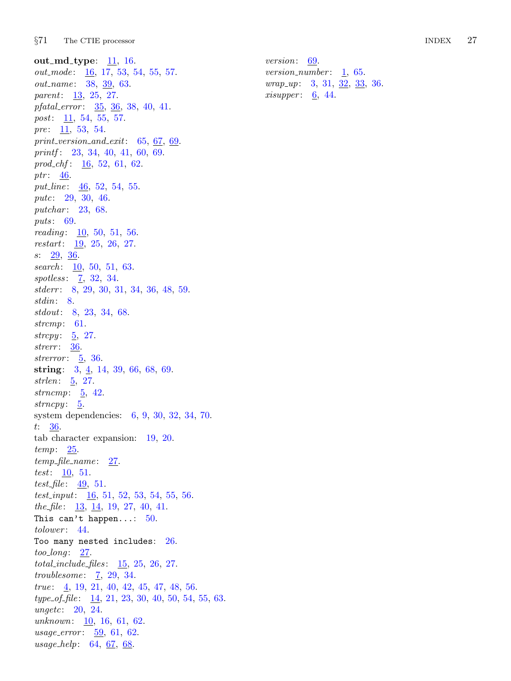out\_md\_type:  $11, 16$  $11, 16$  $11, 16$ .  $out\_mode$ :  $16, 17, 53, 54, 55, 57.$  $16, 17, 53, 54, 55, 57.$  $16, 17, 53, 54, 55, 57.$  $16, 17, 53, 54, 55, 57.$  $16, 17, 53, 54, 55, 57.$  $16, 17, 53, 54, 55, 57.$  $16, 17, 53, 54, 55, 57.$  $16, 17, 53, 54, 55, 57.$  $16, 17, 53, 54, 55, 57.$  $16, 17, 53, 54, 55, 57.$  $16, 17, 53, 54, 55, 57.$ out\_name: [38,](#page-15-0) [39](#page-15-0), [63](#page-23-0). parent: [13](#page-5-0), [25,](#page-8-0) [27.](#page-10-0) pfatal\_error:  $35, 36, 38, 40, 41$  $35, 36, 38, 40, 41$  $35, 36, 38, 40, 41$  $35, 36, 38, 40, 41$  $35, 36, 38, 40, 41$  $35, 36, 38, 40, 41$  $35, 36, 38, 40, 41$  $35, 36, 38, 40, 41$  $35, 36, 38, 40, 41$ . *post*:  $11, 54, 55, 57.$  $11, 54, 55, 57.$  $11, 54, 55, 57.$  $11, 54, 55, 57.$  $11, 54, 55, 57.$  $11, 54, 55, 57.$  $11, 54, 55, 57.$  $11, 54, 55, 57.$ pre:  $11, 53, 54.$  $11, 53, 54.$  $11, 53, 54.$  $11, 53, 54.$  $11, 53, 54.$  $11, 53, 54.$ print\_version\_and\_exit:  $65, 67, 69$  $65, 67, 69$  $65, 67, 69$  $65, 67, 69$ . printf : [23,](#page-8-0) [34,](#page-14-0) [40,](#page-15-0) [41](#page-15-0), [60](#page-21-0), [69](#page-24-0). prod chf:  $16, 52, 61, 62$  $16, 52, 61, 62$  $16, 52, 61, 62$  $16, 52, 61, 62$  $16, 52, 61, 62$  $16, 52, 61, 62$ . ptr:  $46$ . put line: [46](#page-17-0), [52,](#page-19-0) [54](#page-20-0), [55.](#page-20-0) putc: [29](#page-12-0), [30](#page-13-0), [46.](#page-17-0) putchar: [23,](#page-8-0) [68.](#page-24-0) puts: [69.](#page-24-0) reading:  $10, 50, 51, 56$  $10, 50, 51, 56$  $10, 50, 51, 56$  $10, 50, 51, 56$  $10, 50, 51, 56$  $10, 50, 51, 56$ . restart: [19](#page-7-0), [25,](#page-8-0) [26,](#page-9-0) [27](#page-10-0).  $s: \quad 29, \ \frac{36}{5}.$  $s: \quad 29, \ \frac{36}{5}.$  $s: \quad 29, \ \frac{36}{5}.$ search:  $10, 50, 51, 63.$  $10, 50, 51, 63.$  $10, 50, 51, 63.$  $10, 50, 51, 63.$  $10, 50, 51, 63.$  $10, 50, 51, 63.$  $10, 50, 51, 63.$  $10, 50, 51, 63.$ spotless: [7](#page-3-0), [32](#page-13-0), [34.](#page-14-0) stderr : [8,](#page-4-0) [29,](#page-12-0) [30](#page-13-0), [31](#page-13-0), [34](#page-14-0), [36,](#page-14-0) [48,](#page-17-0) [59](#page-21-0). stdin: [8](#page-4-0). stdout: [8](#page-4-0), [23](#page-8-0), [34,](#page-14-0) [68](#page-24-0). strcmp: [61.](#page-22-0) strcpy:  $\frac{5}{2}$ , [27.](#page-10-0) strerr: [36](#page-14-0). strerror:  $\underline{5}$  $\underline{5}$  $\underline{5}$ , [36](#page-14-0). string:  $3, \underline{4}, 14, 39, 66, 68, 69$  $3, \underline{4}, 14, 39, 66, 68, 69$  $3, \underline{4}, 14, 39, 66, 68, 69$  $3, \underline{4}, 14, 39, 66, 68, 69$  $3, \underline{4}, 14, 39, 66, 68, 69$  $3, \underline{4}, 14, 39, 66, 68, 69$  $3, \underline{4}, 14, 39, 66, 68, 69$  $3, \underline{4}, 14, 39, 66, 68, 69$  $3, \underline{4}, 14, 39, 66, 68, 69$  $3, \underline{4}, 14, 39, 66, 68, 69$  $3, \underline{4}, 14, 39, 66, 68, 69$  $3, \underline{4}, 14, 39, 66, 68, 69$ . strlen: [5](#page-2-0), [27](#page-10-0). strncmp: [5,](#page-2-0) [42.](#page-16-0) strncpy:  $\underline{5}$ . system dependencies: [6,](#page-2-0) [9](#page-4-0), [30,](#page-13-0) [32](#page-13-0), [34,](#page-14-0) [70.](#page-25-0) t:  $36$ . tab character expansion: [19](#page-7-0), [20](#page-7-0). temp: [25.](#page-8-0)  $temp_{\text{-}}file_{\text{-}}name: 27.$  $temp_{\text{-}}file_{\text{-}}name: 27.$ test: [10](#page-5-0), [51.](#page-19-0) test file:  $49, 51$  $49, 51$ . test\_input:  $\underline{16}$  $\underline{16}$  $\underline{16}$ , [51](#page-19-0), [52](#page-19-0), [53,](#page-19-0) [54,](#page-20-0) [55](#page-20-0), [56](#page-20-0). the file:  $\frac{13}{14}$  $\frac{13}{14}$  $\frac{13}{14}$  $\frac{13}{14}$  $\frac{13}{14}$ ,  $\frac{14}{19}$ , [27,](#page-10-0) [40,](#page-15-0) [41.](#page-15-0) This can't happen...:  $50$ . tolower: [44.](#page-16-0) Too many nested includes: [26.](#page-9-0)  $too\_long: 27.$  $too\_long: 27.$  $total\_include\_files: \quad 15, 25, 26, 27.$  $total\_include\_files: \quad 15, 25, 26, 27.$  $total\_include\_files: \quad 15, 25, 26, 27.$  $total\_include\_files: \quad 15, 25, 26, 27.$  $total\_include\_files: \quad 15, 25, 26, 27.$  $total\_include\_files: \quad 15, 25, 26, 27.$  $total\_include\_files: \quad 15, 25, 26, 27.$  $total\_include\_files: \quad 15, 25, 26, 27.$  $total\_include\_files: \quad 15, 25, 26, 27.$  $troublesome: 7, 29, 34.$  $troublesome: 7, 29, 34.$  $troublesome: 7, 29, 34.$  $troublesome: 7, 29, 34.$  $troublesome: 7, 29, 34.$  $troublesome: 7, 29, 34.$  $troublesome: 7, 29, 34.$ true: [4](#page-2-0), [19](#page-7-0), [21,](#page-8-0) [40,](#page-15-0) [42](#page-16-0), [45,](#page-16-0) [47,](#page-17-0) [48](#page-17-0), [56](#page-20-0).  $type\_of\_file: \quad \underline{14}, \, 21, \, 23, \, 30, \, 40, \, 50, \, 54, \, 55, \, 63.$  $type\_of\_file: \quad \underline{14}, \, 21, \, 23, \, 30, \, 40, \, 50, \, 54, \, 55, \, 63.$  $type\_of\_file: \quad \underline{14}, \, 21, \, 23, \, 30, \, 40, \, 50, \, 54, \, 55, \, 63.$  $type\_of\_file: \quad \underline{14}, \, 21, \, 23, \, 30, \, 40, \, 50, \, 54, \, 55, \, 63.$  $type\_of\_file: \quad \underline{14}, \, 21, \, 23, \, 30, \, 40, \, 50, \, 54, \, 55, \, 63.$  $type\_of\_file: \quad \underline{14}, \, 21, \, 23, \, 30, \, 40, \, 50, \, 54, \, 55, \, 63.$  $type\_of\_file: \quad \underline{14}, \, 21, \, 23, \, 30, \, 40, \, 50, \, 54, \, 55, \, 63.$  $type\_of\_file: \quad \underline{14}, \, 21, \, 23, \, 30, \, 40, \, 50, \, 54, \, 55, \, 63.$  $type\_of\_file: \quad \underline{14}, \, 21, \, 23, \, 30, \, 40, \, 50, \, 54, \, 55, \, 63.$  $type\_of\_file: \quad \underline{14}, \, 21, \, 23, \, 30, \, 40, \, 50, \, 54, \, 55, \, 63.$  $type\_of\_file: \quad \underline{14}, \, 21, \, 23, \, 30, \, 40, \, 50, \, 54, \, 55, \, 63.$  $type\_of\_file: \quad \underline{14}, \, 21, \, 23, \, 30, \, 40, \, 50, \, 54, \, 55, \, 63.$  $type\_of\_file: \quad \underline{14}, \, 21, \, 23, \, 30, \, 40, \, 50, \, 54, \, 55, \, 63.$  $type\_of\_file: \quad \underline{14}, \, 21, \, 23, \, 30, \, 40, \, 50, \, 54, \, 55, \, 63.$  $type\_of\_file: \quad \underline{14}, \, 21, \, 23, \, 30, \, 40, \, 50, \, 54, \, 55, \, 63.$  $type\_of\_file: \quad \underline{14}, \, 21, \, 23, \, 30, \, 40, \, 50, \, 54, \, 55, \, 63.$  $type\_of\_file: \quad \underline{14}, \, 21, \, 23, \, 30, \, 40, \, 50, \, 54, \, 55, \, 63.$  $type\_of\_file: \quad \underline{14}, \, 21, \, 23, \, 30, \, 40, \, 50, \, 54, \, 55, \, 63.$  $type\_of\_file: \quad \underline{14}, \, 21, \, 23, \, 30, \, 40, \, 50, \, 54, \, 55, \, 63.$ ungetc: [20,](#page-7-0) [24.](#page-8-0) unknown: [10](#page-5-0), [16,](#page-6-0) [61](#page-22-0), [62.](#page-22-0)  $usage_error: 59, 61, 62.$  $usage_error: 59, 61, 62.$  $usage_error: 59, 61, 62.$  $usage_error: 59, 61, 62.$  $usage_error: 59, 61, 62.$  $usage_error: 59, 61, 62.$  $usage_error: 59, 61, 62.$  $usage\_help: 64, 67, 68.$  $usage\_help: 64, 67, 68.$  $usage\_help: 64, 67, 68.$  $usage\_help: 64, 67, 68.$  $usage\_help: 64, 67, 68.$  $usage\_help: 64, 67, 68.$ 

version: [69](#page-24-0). version\_number:  $1, 65$  $1, 65$ . wrap up: [3](#page-2-0), [31,](#page-13-0) [32](#page-13-0), [33](#page-14-0), [36.](#page-14-0) xisupper:  $6, 44$  $6, 44$ .